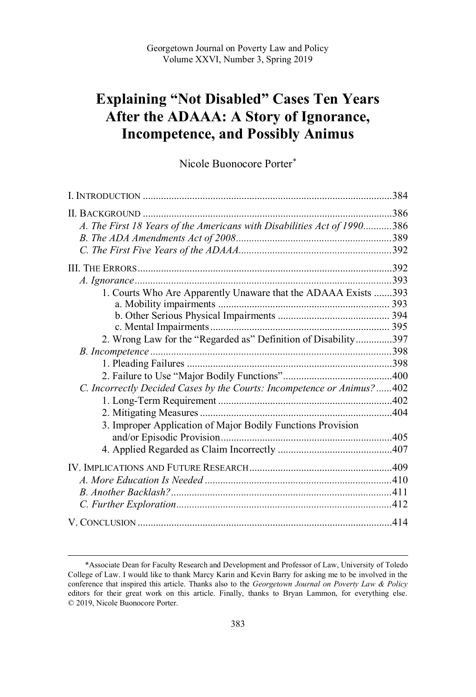# **Explaining "Not Disabled" Cases Ten Years After the ADAAA: A Story of Ignorance, Incompetence, and Possibly Animus**

Nicole Buonocore Porter\*

| A. The First 18 Years of the Americans with Disabilities Act of 1990386 |  |
|-------------------------------------------------------------------------|--|
|                                                                         |  |
|                                                                         |  |
|                                                                         |  |
|                                                                         |  |
| 1. Courts Who Are Apparently Unaware that the ADAAA Exists 393          |  |
|                                                                         |  |
|                                                                         |  |
|                                                                         |  |
| 2. Wrong Law for the "Regarded as" Definition of Disability397          |  |
|                                                                         |  |
|                                                                         |  |
|                                                                         |  |
| C. Incorrectly Decided Cases by the Courts: Incompetence or Animus?402  |  |
|                                                                         |  |
|                                                                         |  |
| 3. Improper Application of Major Bodily Functions Provision             |  |
|                                                                         |  |
|                                                                         |  |
|                                                                         |  |
|                                                                         |  |
|                                                                         |  |
|                                                                         |  |
|                                                                         |  |

 \*Associate Dean for Faculty Research and Development and Professor of Law, University of Toledo College of Law. I would like to thank Marcy Karin and Kevin Barry for asking me to be involved in the conference that inspired this article. Thanks also to the *Georgetown Journal on Poverty Law & Policy*  editors for their great work on this article. Finally, thanks to Bryan Lammon, for everything else. © 2019, Nicole Buonocore Porter.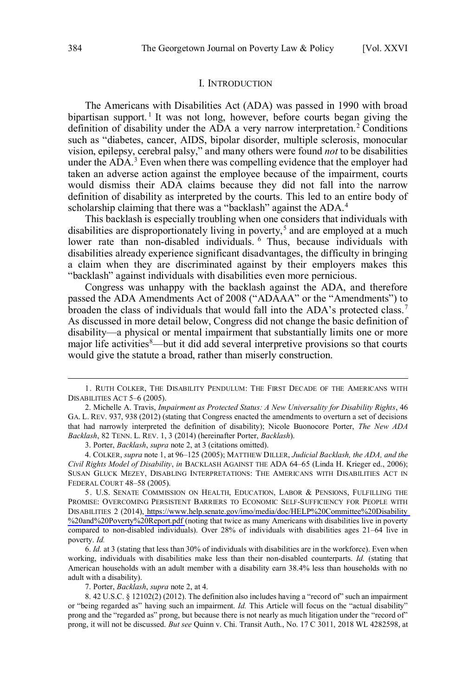#### I. INTRODUCTION

<span id="page-1-0"></span> The Americans with Disabilities Act (ADA) was passed in 1990 with broad bipartisan support.<sup>1</sup> It was not long, however, before courts began giving the definition of disability under the ADA a very narrow interpretation.<sup>2</sup> Conditions vision, epilepsy, cerebral palsy," and many others were found *not* to be disabilities under the ADA.<sup>3</sup> Even when there was compelling evidence that the employer had taken an adverse action against the employee because of the impairment, courts would dismiss their ADA claims because they did not fall into the narrow definition of disability as interpreted by the courts. This led to an entire body of scholarship claiming that there was a "backlash" against the ADA.<sup>4</sup> such as "diabetes, cancer, AIDS, bipolar disorder, multiple sclerosis, monocular

 This backlash is especially troubling when one considers that individuals with disabilities are disproportionately living in poverty,<sup>5</sup> and are employed at a much lower rate than non-disabled individuals. <sup>6</sup> Thus, because individuals with a claim when they are discriminated against by their employers makes this disabilities already experience significant disadvantages, the difficulty in bringing "backlash" against individuals with disabilities even more pernicious.

 Congress was unhappy with the backlash against the ADA, and therefore passed the ADA Amendments Act of 2008 ("ADAAA" or the "Amendments") to broaden the class of individuals that would fall into the ADA's protected class.<sup>7</sup> As discussed in more detail below, Congress did not change the basic definition of disability—a physical or mental impairment that substantially limits one or more major life activities<sup>8</sup>—but it did add several interpretive provisions so that courts would give the statute a broad, rather than miserly construction.

3. Porter, *Backlash*, *supra* note 2, at 3 (citations omitted).

 4. COLKER, *supra* note 1, at 96–125 (2005); MATTHEW DILLER, *Judicial Backlash, the ADA, and the Civil Rights Model of Disability*, *in* BACKLASH AGAINST THE ADA 64–65 (Linda H. Krieger ed., 2006); SUSAN GLUCK MEZEY, DISABLING INTERPRETATIONS: THE AMERICANS WITH DISABILITIES ACT IN FEDERAL COURT 48-58 (2005).

 5. U.S. SENATE COMMISSION ON HEALTH, EDUCATION, LABOR & PENSIONS, FULFILLING THE PROMISE: OVERCOMING PERSISTENT BARRIERS TO ECONOMIC SELF-SUFFICIENCY FOR PEOPLE WITH DISABILITIES 2 (2014), [https://www.help.senate.gov/imo/media/doc/HELP%20Committee%20Disability](https://www.help.senate.gov/imo/media/doc/HELP%20Committee%20Disability%20and%20Poverty%20Report.pdf)  %20and%20Poverty%20Report.pdf (noting that twice as many Americans with disabilities live in poverty compared to non-disabled individuals). Over 28% of individuals with disabilities ages 21–64 live in poverty. *Id.*  FEDERAL COURT 48–58 (2005).<br>
5. U.S. SENATE COMMISSION ON HEALTH, EDUCATION, LABOR & PENSIONS, FULFILLING THE<br>
PROMISE: OVERCOMING PERSISTENT BARRIERS TO ECONOMIC SELF-SUFFICIENCY FOR PEOPLE WITH<br>
DISABILITIES 2 (2014), ht

 working, individuals with disabilities make less than their non-disabled counterparts. *Id.* (stating that American households with an adult member with a disability earn 38.4% less than households with no adult with a disability).

7. Porter, *Backlash*, *supra* note 2, at 4.

 8. 42 U.S.C. § 12102(2) (2012). The definition also includes having a "record of" such an impairment or "being regarded as" having such an impairment. *Id.* This Article will focus on the "actual disability" prong and the "regarded as" prong, but because there is not nearly as much litigation under the "record of" prong, it will not be discussed. *But see* Quinn v. Chi. Transit Auth., No. 17 C 3011, 2018 WL 4282598, at

 DISABILITIES ACT 5–6 (2005). 1. RUTH COLKER, THE DISABILITY PENDULUM: THE FIRST DECADE OF THE AMERICANS WITH

 2. Michelle A. Travis, *Impairment as Protected Status: A New Universality for Disability Rights*, 46 GA. L. REV. 937, 938 (2012) (stating that Congress enacted the amendments to overturn a set of decisions that had narrowly interpreted the definition of disability); Nicole Buonocore Porter, *The New ADA Backlash*, 82 TENN. L. REV. 1, 3 (2014) (hereinafter Porter, *Backlash*).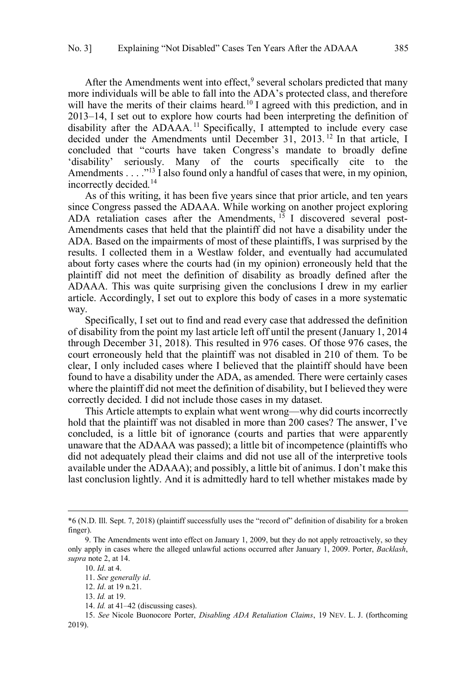After the Amendments went into effect, $9$  several scholars predicted that many more individuals will be able to fall into the ADA's protected class, and therefore will have the merits of their claims heard.<sup>10</sup> I agreed with this prediction, and in 2013–14, I set out to explore how courts had been interpreting the definition of disability after the ADAAA.<sup>11</sup> Specifically, I attempted to include every case decided under the Amendments until December 31, 2013.<sup>12</sup> In that article, I concluded that "courts have taken Congress's mandate to broadly define 'disability' seriously. Many of the courts specifically cite to the Amendments . . . . "<sup>13</sup> I also found only a handful of cases that were, in my opinion, incorrectly decided.14

 As of this writing, it has been five years since that prior article, and ten years since Congress passed the ADAAA. While working on another project exploring ADA retaliation cases after the Amendments, <sup>15</sup> I discovered several post- Amendments cases that held that the plaintiff did not have a disability under the results. I collected them in a Westlaw folder, and eventually had accumulated about forty cases where the courts had (in my opinion) erroneously held that the plaintiff did not meet the definition of disability as broadly defined after the ADAAA. This was quite surprising given the conclusions I drew in my earlier article. Accordingly, I set out to explore this body of cases in a more systematic way. way. Specifically, I set out to find and read every case that addressed the definition ADA. Based on the impairments of most of these plaintiffs, I was surprised by the

 of disability from the point my last article left off until the present (January 1, 2014 through December 31, 2018). This resulted in 976 cases. Of those 976 cases, the court erroneously held that the plaintiff was not disabled in 210 of them. To be clear, I only included cases where I believed that the plaintiff should have been found to have a disability under the ADA, as amended. There were certainly cases where the plaintiff did not meet the definition of disability, but I believed they were correctly decided. I did not include those cases in my dataset.

 This Article attempts to explain what went wrong—why did courts incorrectly hold that the plaintiff was not disabled in more than 200 cases? The answer, I've concluded, is a little bit of ignorance (courts and parties that were apparently unaware that the ADAAA was passed); a little bit of incompetence (plaintiffs who did not adequately plead their claims and did not use all of the interpretive tools available under the ADAAA); and possibly, a little bit of animus. I don't make this last conclusion lightly. And it is admittedly hard to tell whether mistakes made by

<sup>\*6 (</sup>N.D. Ill. Sept. 7, 2018) (plaintiff successfully uses the "record of" definition of disability for a broken finger).

 9. The Amendments went into effect on January 1, 2009, but they do not apply retroactively, so they only apply in cases where the alleged unlawful actions occurred after January 1, 2009. Porter, *Backlash*, *supra* note 2, at 14.

 10. *Id*. at 4.

<sup>11.</sup> *See generally id*.

 12. *Id*. at 19 n.21.

 13. *Id.* at 19.

 14. *Id.* at 41–42 (discussing cases).

 15. *See* Nicole Buonocore Porter, *Disabling ADA Retaliation Claims*, 19 NEV. L. J. (forthcoming 2019).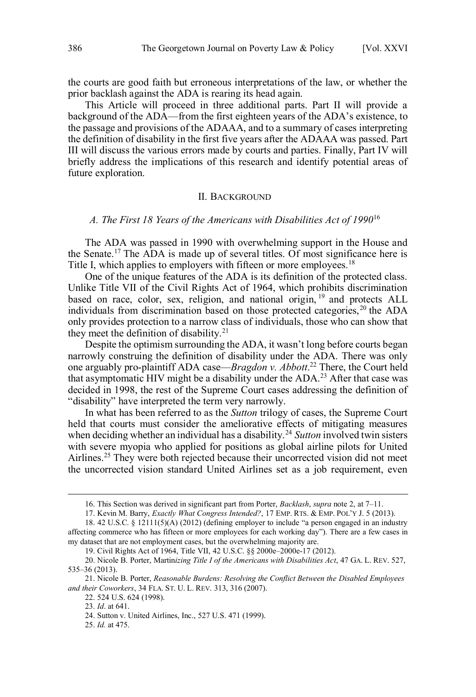<span id="page-3-0"></span> the courts are good faith but erroneous interpretations of the law, or whether the prior backlash against the ADA is rearing its head again.

 prior backlash against the ADA is rearing its head again. This Article will proceed in three additional parts. Part II will provide a background of the ADA—from the first eighteen years of the ADA's existence, to the passage and provisions of the ADAAA, and to a summary of cases interpreting the definition of disability in the first five years after the ADAAA was passed. Part III will discuss the various errors made by courts and parties. Finally, Part IV will briefly address the implications of this research and identify potential areas of future exploration.

#### II. BACKGROUND

# *A. The First 18 Years of the Americans with Disabilities Act of 1990*<sup>16</sup>

 The ADA was passed in 1990 with overwhelming support in the House and the Senate.17 The ADA is made up of several titles. Of most significance here is Title I, which applies to employers with fifteen or more employees.<sup>18</sup>

 One of the unique features of the ADA is its definition of the protected class. Unlike Title VII of the Civil Rights Act of 1964, which prohibits discrimination based on race, color, sex, religion, and national origin, <sup>19</sup> and protects ALL individuals from discrimination based on those protected categories,<sup>20</sup> the ADA they meet the definition of disability.<sup>21</sup> only provides protection to a narrow class of individuals, those who can show that

 Despite the optimism surrounding the ADA, it wasn't long before courts began narrowly construing the definition of disability under the ADA. There was only one arguably pro-plaintiff ADA case—*Bragdon v. Abbott*. 22 There, the Court held that asymptomatic HIV might be a disability under the ADA.<sup>23</sup> After that case was decided in 1998, the rest of the Supreme Court cases addressing the definition of "disability" have interpreted the term very narrowly.

 In what has been referred to as the *Sutton* trilogy of cases, the Supreme Court held that courts must consider the ameliorative effects of mitigating measures when deciding whether an individual has a disability.<sup>24</sup> Sutton involved twin sisters with severe myopia who applied for positions as global airline pilots for United Airlines.<sup>25</sup> They were both rejected because their uncorrected vision did not meet the uncorrected vision standard United Airlines set as a job requirement, even

<sup>16.</sup> This Section was derived in significant part from Porter, *Backlash*, *supra* note 2, at 7–11.

 17. Kevin M. Barry, *Exactly What Congress Intended?*, 17 EMP. RTS. & EMP. POL'Y J. 5 (2013).

 18. 42 U.S.C. § 12111(5)(A) (2012) (defining employer to include "a person engaged in an industry affecting commerce who has fifteen or more employees for each working day"). There are a few cases in my dataset that are not employment cases, but the overwhelming majority are.

 19. Civil Rights Act of 1964, Title VII, 42 U.S.C. §§ 2000e–2000e-17 (2012).

 20. Nicole B. Porter, Martin*izing Title I of the Americans with Disabilities Act*, 47 GA. L. REV. 527, 535–36 (2013). 21. Nicole B. Porter, *Reasonable Burdens: Resolving the Conflict Between the Disabled Employees* 

 *and their Coworkers*, 34 FLA. ST. U. L. REV. 313, 316 (2007).

 22. 524 U.S. 624 (1998).

 23. *Id*. at 641.

 24. Sutton v. United Airlines, Inc., 527 U.S. 471 (1999).

 25. *Id.* at 475.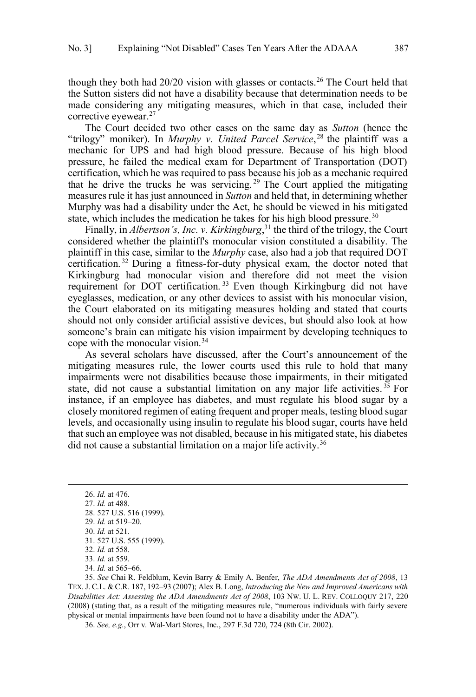though they both had  $20/20$  vision with glasses or contacts.<sup>26</sup> The Court held that the Sutton sisters did not have a disability because that determination needs to be made considering any mitigating measures, which in that case, included their corrective eyewear.<sup>27</sup>

 The Court decided two other cases on the same day as *Sutton* (hence the "trilogy" moniker). In *Murphy v. United Parcel Service*,<sup>28</sup> the plaintiff was a mechanic for UPS and had high blood pressure. Because of his high blood pressure, he failed the medical exam for Department of Transportation (DOT) certification, which he was required to pass because his job as a mechanic required that he drive the trucks he was servicing.<sup>29</sup> The Court applied the mitigating measures rule it has just announced in *Sutton* and held that, in determining whether Murphy was had a disability under the Act, he should be viewed in his mitigated state, which includes the medication he takes for his high blood pressure.<sup>30</sup>

 Finally, in *Albertson's, Inc. v. Kirkingburg*, 31 the third of the trilogy, the Court considered whether the plaintiff's monocular vision constituted a disability. The plaintiff in this case, similar to the *Murphy* case, also had a job that required DOT certification. 32 During a fitness-for-duty physical exam, the doctor noted that Kirkingburg had monocular vision and therefore did not meet the vision requirement for DOT certification.<sup>33</sup> Even though Kirkingburg did not have eyeglasses, medication, or any other devices to assist with his monocular vision, the Court elaborated on its mitigating measures holding and stated that courts should not only consider artificial assistive devices, but should also look at how someone's brain can mitigate his vision impairment by developing techniques to cope with the monocular vision.<sup>34</sup>

 As several scholars have discussed, after the Court's announcement of the mitigating measures rule, the lower courts used this rule to hold that many impairments were not disabilities because those impairments, in their mitigated state, did not cause a substantial limitation on any major life activities.<sup>35</sup> For instance, if an employee has diabetes, and must regulate his blood sugar by a closely monitored regimen of eating frequent and proper meals, testing blood sugar that such an employee was not disabled, because in his mitigated state, his diabetes did not cause a substantial limitation on a major life activity.<sup>36</sup> levels, and occasionally using insulin to regulate his blood sugar, courts have held

 $\overline{a}$ 

34. *Id.* at 565–66.

 35. *See* Chai R. Feldblum, Kevin Barry & Emily A. Benfer, *The ADA Amendments Act of 2008*, 13 TEX. J. C.L. & C.R. 187, 192–93 (2007); Alex B. Long, *Introducing the New and Improved Americans with Disabilities Act: Assessing the ADA Amendments Act of 2008*, 103 NW. U. L. REV. COLLOQUY 217, 220 (2008) (stating that, as a result of the mitigating measures rule, "numerous individuals with fairly severe physical or mental impairments have been found not to have a disability under the ADA").

36. *See, e.g.*, Orr v. Wal-Mart Stores, Inc., 297 F.3d 720, 724 (8th Cir. 2002).

<sup>26.</sup> *Id.* at 476.

 27. *Id.* at 488.

 28. 527 U.S. 516 (1999).

 29. *Id.* at 519–20.

 30. *Id.* at 521.

 31. 527 U.S. 555 (1999).

 32. *Id.* at 558.

 33. *Id.* at 559.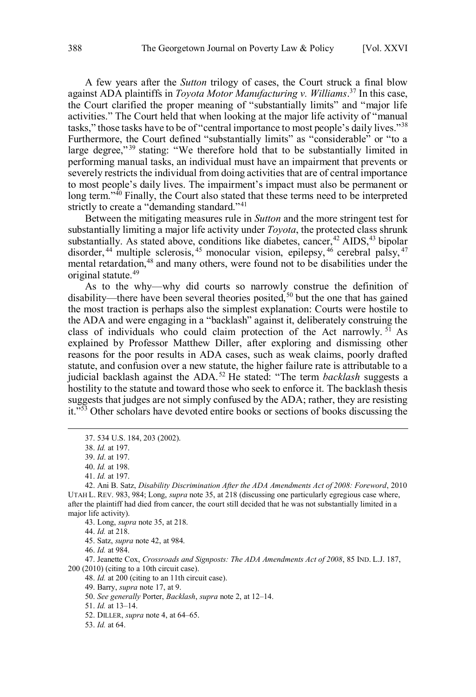A few years after the *Sutton* trilogy of cases, the Court struck a final blow against ADA plaintiffs in *Toyota Motor Manufacturing v. Williams*. 37 In this case, the Court clarified the proper meaning of "substantially limits" and "major life activities." The Court held that when looking at the major life activity of "manual tasks," those tasks have to be of "central importance to most people's daily lives."<sup>38</sup> Furthermore, the Court defined "substantially limits" as "considerable" or "to a large degree,"<sup>39</sup> stating: "We therefore hold that to be substantially limited in performing manual tasks, an individual must have an impairment that prevents or severely restricts the individual from doing activities that are of central importance to most people's daily lives. The impairment's impact must also be permanent or long term."<sup>40</sup> Finally, the Court also stated that these terms need to be interpreted strictly to create a "demanding standard."<sup>41</sup>

 Between the mitigating measures rule in *Sutton* and the more stringent test for substantially limiting a major life activity under *Toyota*, the protected class shrunk mental retardation,<sup>48</sup> and many others, were found not to be disabilities under the original statute.<sup>49</sup> substantially. As stated above, conditions like diabetes, cancer,  $42$  AIDS,  $43$  bipolar disorder,<sup>44</sup> multiple sclerosis,<sup>45</sup> monocular vision, epilepsy,<sup>46</sup> cerebral palsy,<sup>47</sup>

 As to the why—why did courts so narrowly construe the definition of disability—there have been several theories posited,<sup>50</sup> but the one that has gained the most traction is perhaps also the simplest explanation: Courts were hostile to class of individuals who could claim protection of the Act narrowly.<sup>51</sup> As explained by Professor Matthew Diller, after exploring and dismissing other reasons for the poor results in ADA cases, such as weak claims, poorly drafted judicial backlash against the ADA.52 He stated: "The term *backlash* suggests a hostility to the statute and toward those who seek to enforce it. The backlash thesis suggests that judges are not simply confused by the ADA; rather, they are resisting the ADA and were engaging in a "backlash" against it, deliberately construing the statute, and confusion over a new statute, the higher failure rate is attributable to a it."<sup>553</sup> Other scholars have devoted entire books or sections of books discussing the

 $\overline{a}$ 

41. *Id.* at 197.

46. *Id.* at 984.

 47. Jeanette Cox, *Crossroads and Signposts: The ADA Amendments Act of 2008*, 85 IND. L.J. 187, 200 (2010) (citing to a 10th circuit case).

48. *Id.* at 200 (citing to an 11th circuit case).

49. Barry, *supra* note 17, at 9.

50. *See generally* Porter, *Backlash*, *supra* note 2, at 12–14.

51. *Id.* at 13–14.

52. DILLER, *supra* note 4, at 64–65.

53. *Id.* at 64.

<sup>37. 534</sup> U.S. 184, 203 (2002).

 38. *Id.* at 197.

 39. *Id*. at 197.

 40. *Id.* at 198.

 42. Ani B. Satz, *Disability Discrimination After the ADA Amendments Act of 2008: Foreword*, 2010 UTAH L. REV. 983, 984; Long, *supra* note 35, at 218 (discussing one particularly egregious case where, after the plaintiff had died from cancer, the court still decided that he was not substantially limited in a major life activity).

 43. Long, *supra* note 35, at 218.

 44. *Id.* at 218.

 45. Satz, *supra* note 42, at 984.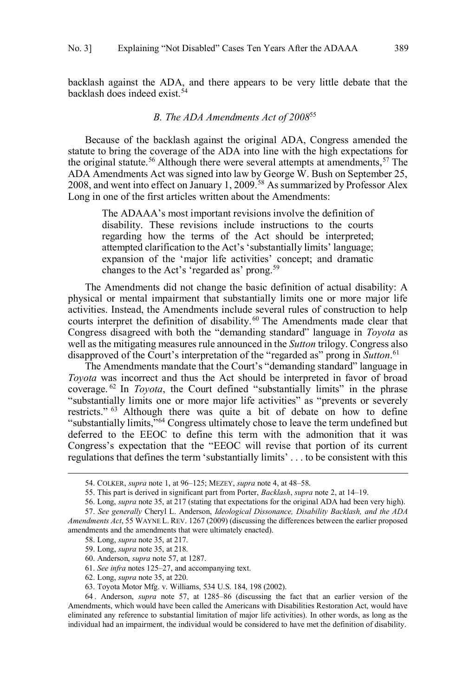<span id="page-6-0"></span> backlash against the ADA, and there appears to be very little debate that the backlash does indeed exist.<sup>54</sup>

# *B. The ADA Amendments Act of 2008*<sup>55</sup>

 Because of the backlash against the original ADA, Congress amended the statute to bring the coverage of the ADA into line with the high expectations for the original statute.<sup>56</sup> Although there were several attempts at amendments,<sup>57</sup> The ADA Amendments Act was signed into law by George W. Bush on September 25, 2008, and went into effect on January 1, 2009.<sup>58</sup> As summarized by Professor Alex Long in one of the first articles written about the Amendments:

 The ADAAA's most important revisions involve the definition of disability. These revisions include instructions to the courts regarding how the terms of the Act should be interpreted; attempted clarification to the Act's 'substantially limits' language; expansion of the 'major life activities' concept; and dramatic changes to the Act's 'regarded as' prong.<sup>59</sup>

 The Amendments did not change the basic definition of actual disability: A physical or mental impairment that substantially limits one or more major life activities. Instead, the Amendments include several rules of construction to help courts interpret the definition of disability.<sup>60</sup> The Amendments made clear that Congress disagreed with both the "demanding standard" language in *Toyota* as well as the mitigating measures rule announced in the *Sutton* trilogy. Congress also disapproved of the Court's interpretation of the "regarded as" prong in *Sutton*. 61

 The Amendments mandate that the Court's "demanding standard" language in *Toyota* was incorrect and thus the Act should be interpreted in favor of broad coverage. 62 In *Toyota*, the Court defined "substantially limits" in the phrase "substantially limits one or more major life activities" as "prevents or severely restricts." <sup>63</sup> Although there was quite a bit of debate on how to define "substantially limits,"<sup>64</sup> Congress ultimately chose to leave the term undefined but deferred to the EEOC to define this term with the admonition that it was Congress's expectation that the "EEOC will revise that portion of its current regulations that defines the term 'substantially limits' . . . to be consistent with this

<sup>54.</sup> COLKER, *supra* note 1, at 96–125; MEZEY, *supra* note 4, at 48–58.

 55. This part is derived in significant part from Porter, *Backlash*, *supra* note 2, at 14–19.

 56. Long, *supra* note 35, at 217 (stating that expectations for the original ADA had been very high).

 57. *See generally* Cheryl L. Anderson, *Ideological Dissonance, Disability Backlash, and the ADA Amendments Act*, 55 WAYNE L. REV. 1267 (2009) (discussing the differences between the earlier proposed amendments and the amendments that were ultimately enacted).

 58. Long, *supra* note 35, at 217.

 59. Long, *supra* note 35, at 218.

 60. Anderson, *supra* note 57, at 1287.

 61. *See infra* notes 125–27, and accompanying text.

 62. Long, *supra* note 35, at 220.

 63. Toyota Motor Mfg. v. Williams, 534 U.S. 184, 198 (2002).

 64 . Anderson, *supra* note 57, at 1285–86 (discussing the fact that an earlier version of the Amendments, which would have been called the Americans with Disabilities Restoration Act, would have eliminated any reference to substantial limitation of major life activities). In other words, as long as the individual had an impairment, the individual would be considered to have met the definition of disability.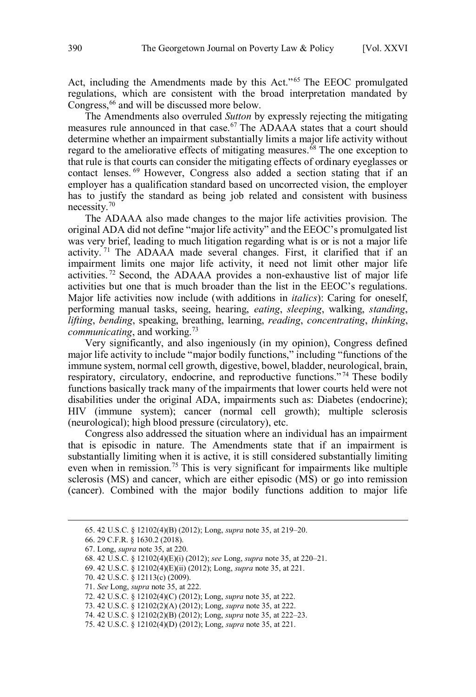Act, including the Amendments made by this Act."<sup>65</sup> The EEOC promulgated regulations, which are consistent with the broad interpretation mandated by Congress,<sup>66</sup> and will be discussed more below.

 The Amendments also overruled *Sutton* by expressly rejecting the mitigating measures rule announced in that case.<sup>67</sup> The ADAAA states that a court should regard to the ameliorative effects of mitigating measures.<sup>68</sup> The one exception to that rule is that courts can consider the mitigating effects of ordinary eyeglasses or contact lenses. 69 However, Congress also added a section stating that if an employer has a qualification standard based on uncorrected vision, the employer has to justify the standard as being job related and consistent with business necessity.<sup>70</sup> determine whether an impairment substantially limits a major life activity without

 The ADAAA also made changes to the major life activities provision. The original ADA did not define "major life activity" and the EEOC's promulgated list was very brief, leading to much litigation regarding what is or is not a major life activity.<sup>71</sup> The ADAAA made several changes. First, it clarified that if an impairment limits one major life activity, it need not limit other major life activities.<sup>72</sup> Second, the ADAAA provides a non-exhaustive list of major life activities but one that is much broader than the list in the EEOC's regulations. Major life activities now include (with additions in *italics*): Caring for oneself, performing manual tasks, seeing, hearing, *eating*, *sleeping*, walking, *standing*, *communicating*, and working.73 *lifting*, *bending*, speaking, breathing, learning, *reading*, *concentrating*, *thinking*,

 Very significantly, and also ingeniously (in my opinion), Congress defined major life activity to include "major bodily functions," including "functions of the immune system, normal cell growth, digestive, bowel, bladder, neurological, brain, respiratory, circulatory, endocrine, and reproductive functions."<sup>74</sup> These bodily functions basically track many of the impairments that lower courts held were not disabilities under the original ADA, impairments such as: Diabetes (endocrine); HIV (immune system); cancer (normal cell growth); multiple sclerosis (neurological); high blood pressure (circulatory), etc.

 Congress also addressed the situation where an individual has an impairment that is episodic in nature. The Amendments state that if an impairment is substantially limiting when it is active, it is still considered substantially limiting even when in remission.<sup>75</sup> This is very significant for impairments like multiple sclerosis (MS) and cancer, which are either episodic (MS) or go into remission (cancer). Combined with the major bodily functions addition to major life

<sup>65. 42</sup> U.S.C. § 12102(4)(B) (2012); Long, *supra* note 35, at 219–20.

 66. 29 C.F.R. § 1630.2 (2018).

 67. Long, *supra* note 35, at 220.

 68. 42 U.S.C. § 12102(4)(E)(i) (2012); *see* Long, *supra* note 35, at 220–21.

 69. 42 U.S.C. § 12102(4)(E)(ii) (2012); Long, *supra* note 35, at 221.

 70. 42 U.S.C. § 12113(c) (2009).

 71. *See* Long, *supra* note 35, at 222.

 72. 42 U.S.C. § 12102(4)(C) (2012); Long, *supra* note 35, at 222.

 73. 42 U.S.C. § 12102(2)(A) (2012); Long, *supra* note 35, at 222.

<sup>74. 42</sup> U.S.C. § 12102(2)(B) (2012); Long, *supra* note 35, at 222–23.

 75. 42 U.S.C. § 12102(4)(D) (2012); Long, *supra* note 35, at 221.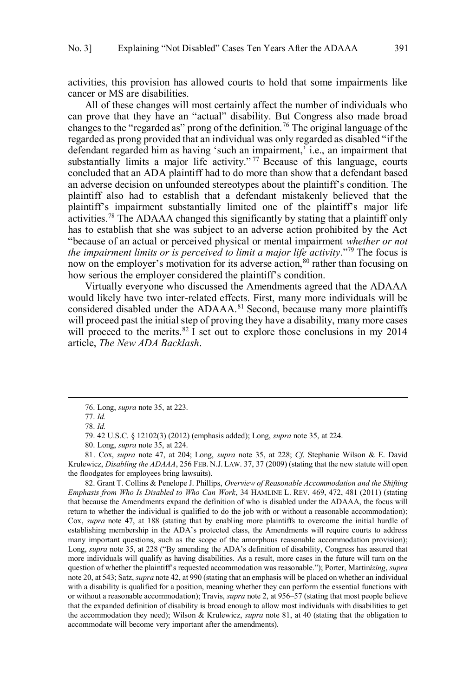activities, this provision has allowed courts to hold that some impairments like cancer or MS are disabilities.

 All of these changes will most certainly affect the number of individuals who can prove that they have an "actual" disability. But Congress also made broad changes to the "regarded as" prong of the definition.<sup>76</sup> The original language of the regarded as prong provided that an individual was only regarded as disabled "if the defendant regarded him as having 'such an impairment,' i.e., an impairment that substantially limits a major life activity."<sup>77</sup> Because of this language, courts concluded that an ADA plaintiff had to do more than show that a defendant based an adverse decision on unfounded stereotypes about the plaintiff's condition. The plaintiff also had to establish that a defendant mistakenly believed that the plaintiff's impairment substantially limited one of the plaintiff's major life activities.<sup>78</sup> The ADAAA changed this significantly by stating that a plaintiff only has to establish that she was subject to an adverse action prohibited by the Act "because of an actual or perceived physical or mental impairment *whether or not the impairment limits or is perceived to limit a major life activity*."79 The focus is now on the employer's motivation for its adverse action, <sup>80</sup> rather than focusing on how serious the employer considered the plaintiff's condition.

 Virtually everyone who discussed the Amendments agreed that the ADAAA would likely have two inter-related effects. First, many more individuals will be considered disabled under the ADAAA.<sup>81</sup> Second, because many more plaintiffs will proceed past the initial step of proving they have a disability, many more cases will proceed to the merits.<sup>82</sup> I set out to explore those conclusions in my 2014 article, *The New ADA Backlash*.

 $\overline{a}$ 

 81. Cox, *supra* note 47, at 204; Long, *supra* note 35, at 228; *Cf*. Stephanie Wilson & E. David Krulewicz, *Disabling the ADAAA*, 256 FEB. N.J. LAW. 37, 37 (2009) (stating that the new statute will open the floodgates for employees bring lawsuits).

 82. Grant T. Collins & Penelope J. Phillips, *Overview of Reasonable Accommodation and the Shifting Emphasis from Who Is Disabled to Who Can Work*, 34 HAMLINE L. REV. 469, 472, 481 (2011) (stating that because the Amendments expand the definition of who is disabled under the ADAAA, the focus will return to whether the individual is qualified to do the job with or without a reasonable accommodation); Cox, *supra* note 47, at 188 (stating that by enabling more plaintiffs to overcome the initial hurdle of establishing membership in the ADA's protected class, the Amendments will require courts to address many important questions, such as the scope of the amorphous reasonable accommodation provision); Long, *supra* note 35, at 228 ("By amending the ADA's definition of disability, Congress has assured that more individuals will qualify as having disabilities. As a result, more cases in the future will turn on the question of whether the plaintiff's requested accommodation was reasonable."); Porter, Martin*izing*, *supra*  note 20, at 543; Satz, *supra* note 42, at 990 (stating that an emphasis will be placed on whether an individual with a disability is qualified for a position, meaning whether they can perform the essential functions with or without a reasonable accommodation); Travis, *supra* note 2, at 956–57 (stating that most people believe that the expanded definition of disability is broad enough to allow most individuals with disabilities to get the accommodation they need); Wilson & Krulewicz, *supra* note 81, at 40 (stating that the obligation to accommodate will become very important after the amendments).

<sup>76.</sup> Long, *supra* note 35, at 223.

 77. *Id.* 

 78. *Id.* 

 79. 42 U.S.C. § 12102(3) (2012) (emphasis added); Long, *supra* note 35, at 224.

 80. Long, *supra* note 35, at 224.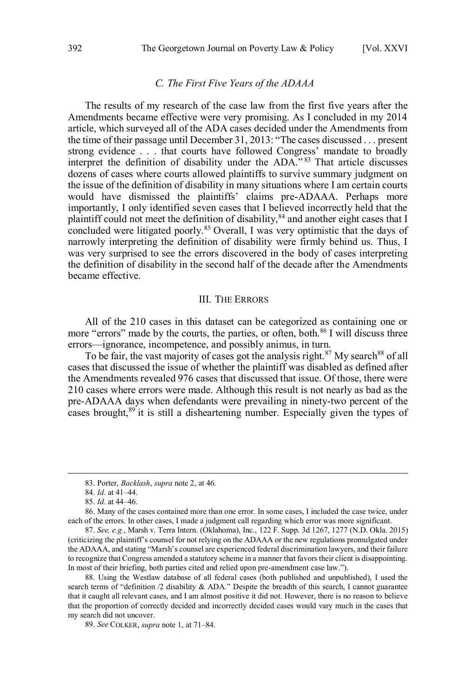# *C. The First Five Years of the ADAAA*

<span id="page-9-0"></span> The results of my research of the case law from the first five years after the Amendments became effective were very promising. As I concluded in my 2014 article, which surveyed all of the ADA cases decided under the Amendments from the time of their passage until December 31, 2013: "The cases discussed . . . present strong evidence . . . that courts have followed Congress' mandate to broadly interpret the definition of disability under the ADA."<sup>83</sup> That article discusses dozens of cases where courts allowed plaintiffs to survive summary judgment on the issue of the definition of disability in many situations where I am certain courts would have dismissed the plaintiffs' claims pre-ADAAA. Perhaps more importantly, I only identified seven cases that I believed incorrectly held that the plaintiff could not meet the definition of disability, $84$  and another eight cases that I concluded were litigated poorly.<sup>85</sup> Overall, I was very optimistic that the days of narrowly interpreting the definition of disability were firmly behind us. Thus, I was very surprised to see the errors discovered in the body of cases interpreting the definition of disability in the second half of the decade after the Amendments became effective.

### III. THE ERRORS

 All of the 210 cases in this dataset can be categorized as containing one or more "errors" made by the courts, the parties, or often, both.<sup>86</sup> I will discuss three errors—ignorance, incompetence, and possibly animus, in turn.

To be fair, the vast majority of cases got the analysis right.<sup>87</sup> My search<sup>88</sup> of all cases that discussed the issue of whether the plaintiff was disabled as defined after the Amendments revealed 976 cases that discussed that issue. Of those, there were 210 cases where errors were made. Although this result is not nearly as bad as the pre-ADAAA days when defendants were prevailing in ninety-two percent of the cases brought,<sup>89</sup> it is still a disheartening number. Especially given the types of

<sup>83.</sup> Porter, *Backlash*, *supra* note 2, at 46.

 84. *Id.* at 41–44.

 85. *Id.* at 44–46.

 86. Many of the cases contained more than one error. In some cases, I included the case twice, under each of the errors. In other cases, I made a judgment call regarding which error was more significant.

 87. *See, e.g.*, Marsh v. Terra Intern. (Oklahoma), Inc., 122 F. Supp. 3d 1267, 1277 (N.D. Okla. 2015) (criticizing the plaintiff's counsel for not relying on the ADAAA or the new regulations promulgated under the ADAAA, and stating "Marsh's counsel are experienced federal discrimination lawyers, and their failure to recognize that Congress amended a statutory scheme in a manner that favors their client is disappointing. In most of their briefing, both parties cited and relied upon pre-amendment case law.").

 88. Using the Westlaw database of all federal cases (both published and unpublished), I used the search terms of "definition /2 disability & ADA." Despite the breadth of this search, I cannot guarantee that it caught all relevant cases, and I am almost positive it did not. However, there is no reason to believe that the proportion of correctly decided and incorrectly decided cases would vary much in the cases that my search did not uncover.

 89. *See* COLKER, *supra* note 1, at 71–84.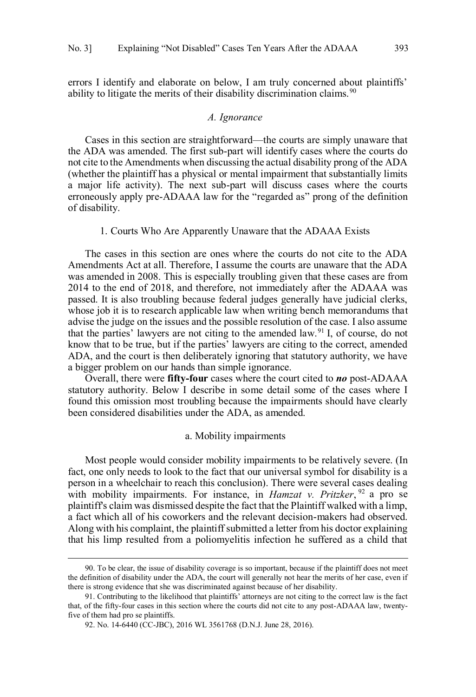<span id="page-10-0"></span> errors I identify and elaborate on below, I am truly concerned about plaintiffs' ability to litigate the merits of their disability discrimination claims.<sup>90</sup>

# *A. Ignorance*

 Cases in this section are straightforward—the courts are simply unaware that the ADA was amended. The first sub-part will identify cases where the courts do not cite to the Amendments when discussing the actual disability prong of the ADA (whether the plaintiff has a physical or mental impairment that substantially limits a major life activity). The next sub-part will discuss cases where the courts erroneously apply pre-ADAAA law for the "regarded as" prong of the definition of disability.

1. Courts Who Are Apparently Unaware that the ADAAA Exists

 The cases in this section are ones where the courts do not cite to the ADA Amendments Act at all. Therefore, I assume the courts are unaware that the ADA was amended in 2008. This is especially troubling given that these cases are from 2014 to the end of 2018, and therefore, not immediately after the ADAAA was passed. It is also troubling because federal judges generally have judicial clerks, whose job it is to research applicable law when writing bench memorandums that advise the judge on the issues and the possible resolution of the case. I also assume that the parties' lawyers are not citing to the amended law.<sup>91</sup> I, of course, do not know that to be true, but if the parties' lawyers are citing to the correct, amended ADA, and the court is then deliberately ignoring that statutory authority, we have a bigger problem on our hands than simple ignorance.

 Overall, there were **fifty-four** cases where the court cited to *no* post-ADAAA statutory authority. Below I describe in some detail some of the cases where I found this omission most troubling because the impairments should have clearly been considered disabilities under the ADA, as amended.

#### a. Mobility impairments

 Most people would consider mobility impairments to be relatively severe. (In fact, one only needs to look to the fact that our universal symbol for disability is a with mobility impairments. For instance, in *Hamzat v. Pritzker*, <sup>92</sup> a pro se plaintiff's claim was dismissed despite the fact that the Plaintiff walked with a limp, a fact which all of his coworkers and the relevant decision-makers had observed. Along with his complaint, the plaintiff submitted a letter from his doctor explaining that his limp resulted from a poliomyelitis infection he suffered as a child that person in a wheelchair to reach this conclusion). There were several cases dealing

 the definition of disability under the ADA, the court will generally not hear the merits of her case, even if there is strong evidence that she was discriminated against because of her disability. 90. To be clear, the issue of disability coverage is so important, because if the plaintiff does not meet

 91. Contributing to the likelihood that plaintiffs' attorneys are not citing to the correct law is the fact that, of the fifty-four cases in this section where the courts did not cite to any post-ADAAA law, twenty-five of them had pro se plaintiffs.

 92. No. 14-6440 (CC-JBC), 2016 WL 3561768 (D.N.J. June 28, 2016).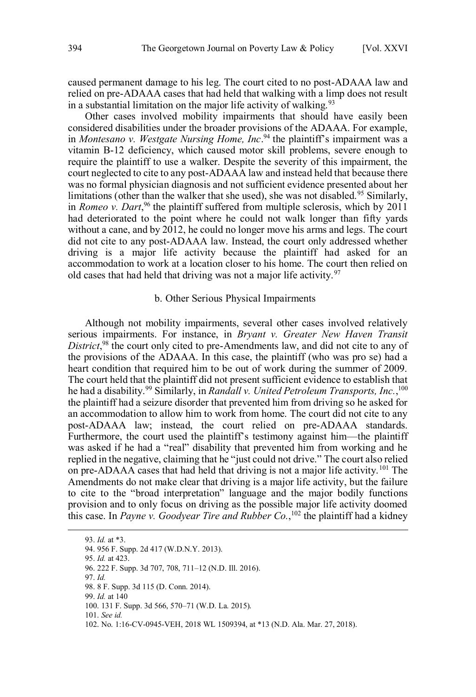<span id="page-11-0"></span> caused permanent damage to his leg. The court cited to no post-ADAAA law and in a substantial limitation on the major life activity of walking.<sup>93</sup> relied on pre-ADAAA cases that had held that walking with a limp does not result

 Other cases involved mobility impairments that should have easily been in *Montesano v. Westgate Nursing Home, Inc*. 94 the plaintiff's impairment was a vitamin B-12 deficiency, which caused motor skill problems, severe enough to require the plaintiff to use a walker. Despite the severity of this impairment, the court neglected to cite to any post-ADAAA law and instead held that because there was no formal physician diagnosis and not sufficient evidence presented about her limitations (other than the walker that she used), she was not disabled.<sup>95</sup> Similarly, in *Romeo v. Dart*, 96 the plaintiff suffered from multiple sclerosis, which by 2011 had deteriorated to the point where he could not walk longer than fifty yards without a cane, and by 2012, he could no longer move his arms and legs. The court did not cite to any post-ADAAA law. Instead, the court only addressed whether driving is a major life activity because the plaintiff had asked for an accommodation to work at a location closer to his home. The court then relied on old cases that had held that driving was not a major life activity.<sup>97</sup> considered disabilities under the broader provisions of the ADAAA. For example,

# b. Other Serious Physical Impairments

 Although not mobility impairments, several other cases involved relatively serious impairments. For instance, in *Bryant v. Greater New Haven Transit District*, 98 the court only cited to pre-Amendments law, and did not cite to any of the provisions of the ADAAA. In this case, the plaintiff (who was pro se) had a heart condition that required him to be out of work during the summer of 2009. The court held that the plaintiff did not present sufficient evidence to establish that he had a disability.<sup>99</sup> Similarly, in *Randall v. United Petroleum Transports, Inc.*,<sup>100</sup> the plaintiff had a seizure disorder that prevented him from driving so he asked for an accommodation to allow him to work from home. The court did not cite to any post-ADAAA law; instead, the court relied on pre-ADAAA standards. Furthermore, the court used the plaintiff's testimony against him—the plaintiff was asked if he had a "real" disability that prevented him from working and he replied in the negative, claiming that he "just could not drive." The court also relied on pre-ADAAA cases that had held that driving is not a major life activity.<sup>101</sup> The Amendments do not make clear that driving is a major life activity, but the failure to cite to the "broad interpretation" language and the major bodily functions provision and to only focus on driving as the possible major life activity doomed this case. In *Payne v. Goodyear Tire and Rubber Co.*, 102 the plaintiff had a kidney

 94. 956 F. Supp. 2d 417 (W.D.N.Y. 2013). 95. *Id.* at 423. 96. 222 F. Supp. 3d 707, 708, 711–12 (N.D. Ill. 2016). 97. *Id.*  98. 8 F. Supp. 3d 115 (D. Conn. 2014). 99. *Id.* at 140 100. 131 F. Supp. 3d 566, 570–71 (W.D. La. 2015).  101. *See id.*  102. No. 1:16-CV-0945-VEH, 2018 WL 1509394, at \*13 (N.D. Ala. Mar. 27, 2018). 93. *Id.* at \*3.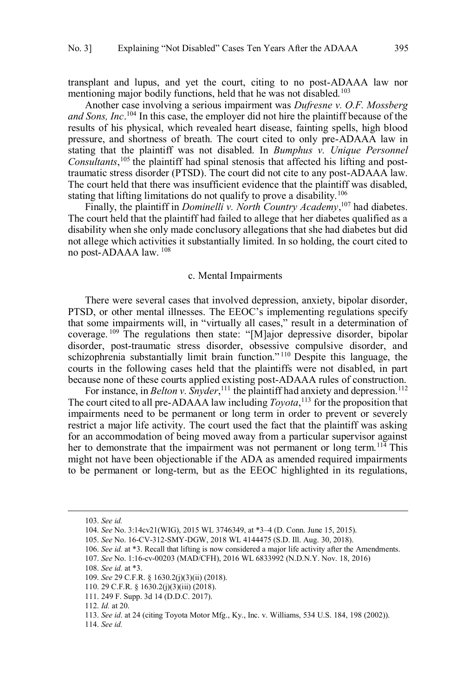<span id="page-12-0"></span> transplant and lupus, and yet the court, citing to no post-ADAAA law nor mentioning major bodily functions, held that he was not disabled.<sup>103</sup>

 Another case involving a serious impairment was *Dufresne v. O.F. Mossberg and Sons, Inc*. 104 In this case, the employer did not hire the plaintiff because of the results of his physical, which revealed heart disease, fainting spells, high blood pressure, and shortness of breath. The court cited to only pre-ADAAA law in stating that the plaintiff was not disabled. In *Bumphus v. Unique Personnel*  Consultants,<sup>105</sup> the plaintiff had spinal stenosis that affected his lifting and post- traumatic stress disorder (PTSD). The court did not cite to any post-ADAAA law. The court held that there was insufficient evidence that the plaintiff was disabled, stating that lifting limitations do not qualify to prove a disability.<sup>106</sup>

 Finally, the plaintiff in *Dominelli v. North Country Academy*, 107 had diabetes. The court held that the plaintiff had failed to allege that her diabetes qualified as a not allege which activities it substantially limited. In so holding, the court cited to disability when she only made conclusory allegations that she had diabetes but did no post-ADAAA law. 108

## c. Mental Impairments

 There were several cases that involved depression, anxiety, bipolar disorder, PTSD, or other mental illnesses. The EEOC's implementing regulations specify that some impairments will, in "virtually all cases," result in a determination of coverage.  $109$  The regulations then state: "[M]ajor depressive disorder, bipolar courts in the following cases held that the plaintiffs were not disabled, in part because none of these courts applied existing post-ADAAA rules of construction. disorder, post-traumatic stress disorder, obsessive compulsive disorder, and schizophrenia substantially limit brain function."<sup>110</sup> Despite this language, the

For instance, in *Belton v. Snyder*,<sup>111</sup> the plaintiff had anxiety and depression.<sup>112</sup> The court cited to all pre-ADAAA law including *Toyota*, 113 for the proposition that impairments need to be permanent or long term in order to prevent or severely restrict a major life activity. The court used the fact that the plaintiff was asking for an accommodation of being moved away from a particular supervisor against her to demonstrate that the impairment was not permanent or long term.<sup>114</sup> This might not have been objectionable if the ADA as amended required impairments to be permanent or long-term, but as the EEOC highlighted in its regulations,

 $\overline{a}$ 

108. *See id.* at \*3.

<sup>103.</sup> *See id.* 

 104. *See* No. 3:14cv21(WIG), 2015 WL 3746349, at \*3–4 (D. Conn. June 15, 2015).

 105. *See* No. 16-CV-312-SMY-DGW, 2018 WL 4144475 (S.D. Ill. Aug. 30, 2018).

 106. *See id.* at \*3. Recall that lifting is now considered a major life activity after the Amendments.

 107. *See* No. 1:16-cv-00203 (MAD/CFH), 2016 WL 6833992 (N.D.N.Y. Nov. 18, 2016)

 109. *See* 29 C.F.R. § 1630.2(j)(3)(ii) (2018).

 110. 29 C.F.R. § 1630.2(j)(3)(iii) (2018).

 111. 249 F. Supp. 3d 14 (D.D.C. 2017).

 112. *Id.* at 20.

 113. *See id*. at 24 (citing Toyota Motor Mfg., Ky., Inc. v. Williams, 534 U.S. 184, 198 (2002)).

 114. *See id.*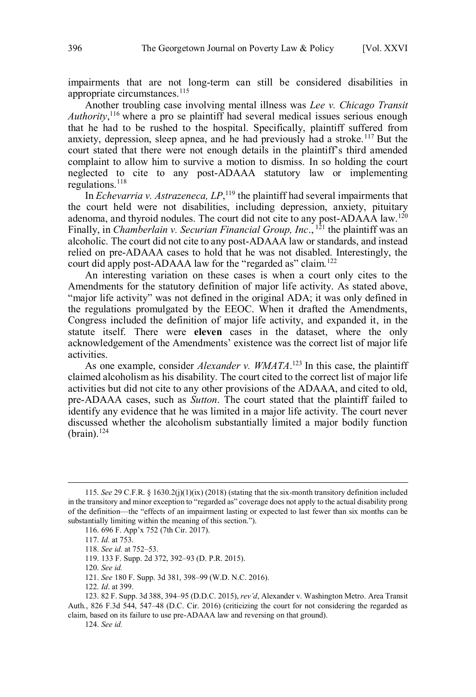impairments that are not long-term can still be considered disabilities in appropriate circumstances.<sup>115</sup>

 Another troubling case involving mental illness was *Lee v. Chicago Transit Authority*, 116 where a pro se plaintiff had several medical issues serious enough that he had to be rushed to the hospital. Specifically, plaintiff suffered from anxiety, depression, sleep apnea, and he had previously had a stroke.<sup>117</sup> But the court stated that there were not enough details in the plaintiff's third amended complaint to allow him to survive a motion to dismiss. In so holding the court neglected to cite to any post-ADAAA statutory law or implementing regulations. $118$ 

 In *Echevarria v. Astrazeneca, LP*, 119 the plaintiff had several impairments that the court held were not disabilities, including depression, anxiety, pituitary adenoma, and thyroid nodules. The court did not cite to any post-ADAAA law.<sup>120</sup> Finally, in *Chamberlain v. Securian Financial Group, Inc*., 121 the plaintiff was an alcoholic. The court did not cite to any post-ADAAA law or standards, and instead relied on pre-ADAAA cases to hold that he was not disabled. Interestingly, the court did apply post-ADAAA law for the "regarded as" claim.<sup>122</sup>

 An interesting variation on these cases is when a court only cites to the Amendments for the statutory definition of major life activity. As stated above, "major life activity" was not defined in the original ADA; it was only defined in the regulations promulgated by the EEOC. When it drafted the Amendments, Congress included the definition of major life activity, and expanded it, in the statute itself. There were **eleven** cases in the dataset, where the only acknowledgement of the Amendments' existence was the correct list of major life activities.

As one example, consider *Alexander v. WMATA*.<sup>123</sup> In this case, the plaintiff claimed alcoholism as his disability. The court cited to the correct list of major life activities but did not cite to any other provisions of the ADAAA, and cited to old, pre-ADAAA cases, such as *Sutton*. The court stated that the plaintiff failed to identify any evidence that he was limited in a major life activity. The court never discussed whether the alcoholism substantially limited a major bodily function  $(brain).<sup>124</sup>$ 

 $\overline{a}$ 

124. *See id.* 

 in the transitory and minor exception to "regarded as" coverage does not apply to the actual disability prong of the definition—the "effects of an impairment lasting or expected to last fewer than six months can be substantially limiting within the meaning of this section."). 115. *See* 29 C.F.R. § 1630.2(j)(1)(ix) (2018) (stating that the six-month transitory definition included

 116. 696 F. App'x 752 (7th Cir. 2017).

 117. *Id.* at 753.

 118. *See id.* at 752–53.

 119. 133 F. Supp. 2d 372, 392–93 (D. P.R. 2015).

 120. *See id.* 

 121. *See* 180 F. Supp. 3d 381, 398–99 (W.D. N.C. 2016).

 122. *Id*. at 399.

 123. 82 F. Supp. 3d 388, 394–95 (D.D.C. 2015), *rev'd*, Alexander v. Washington Metro. Area Transit Auth., 826 F.3d 544, 547–48 (D.C. Cir. 2016) (criticizing the court for not considering the regarded as claim, based on its failure to use pre-ADAAA law and reversing on that ground).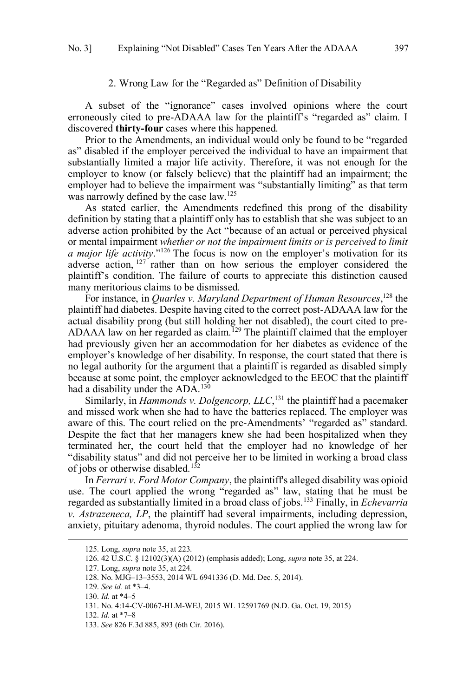# 2. Wrong Law for the "Regarded as" Definition of Disability

<span id="page-14-0"></span> A subset of the "ignorance" cases involved opinions where the court erroneously cited to pre-ADAAA law for the plaintiff's "regarded as" claim. I discovered **thirty-four** cases where this happened.

 Prior to the Amendments, an individual would only be found to be "regarded as" disabled if the employer perceived the individual to have an impairment that substantially limited a major life activity. Therefore, it was not enough for the employer to know (or falsely believe) that the plaintiff had an impairment; the employer had to believe the impairment was "substantially limiting" as that term was narrowly defined by the case law.<sup>125</sup>

 As stated earlier, the Amendments redefined this prong of the disability adverse action prohibited by the Act "because of an actual or perceived physical or mental impairment *whether or not the impairment limits or is perceived to limit a major life activity*."126 The focus is now on the employer's motivation for its adverse action, <sup>127</sup> rather than on how serious the employer considered the plaintiff's condition. The failure of courts to appreciate this distinction caused many meritorious claims to be dismissed. definition by stating that a plaintiff only has to establish that she was subject to an

 For instance, in *Quarles v. Maryland Department of Human Resources*, 128 the plaintiff had diabetes. Despite having cited to the correct post-ADAAA law for the actual disability prong (but still holding her not disabled), the court cited to pre-ADAAA law on her regarded as claim.<sup>129</sup> The plaintiff claimed that the employer had previously given her an accommodation for her diabetes as evidence of the employer's knowledge of her disability. In response, the court stated that there is no legal authority for the argument that a plaintiff is regarded as disabled simply because at some point, the employer acknowledged to the EEOC that the plaintiff had a disability under the ADA.<sup>130</sup>

 Similarly, in *Hammonds v. Dolgencorp, LLC*, 131 the plaintiff had a pacemaker and missed work when she had to have the batteries replaced. The employer was aware of this. The court relied on the pre-Amendments' "regarded as" standard. Despite the fact that her managers knew she had been hospitalized when they terminated her, the court held that the employer had no knowledge of her "disability status" and did not perceive her to be limited in working a broad class of jobs or otherwise disabled.<sup>132</sup>

 In *Ferrari v. Ford Motor Company*, the plaintiff's alleged disability was opioid use. The court applied the wrong "regarded as" law, stating that he must be regarded as substantially limited in a broad class of jobs.133 Finally, in *Echevarria v. Astrazeneca, LP*, the plaintiff had several impairments, including depression, anxiety, pituitary adenoma, thyroid nodules. The court applied the wrong law for

<sup>125.</sup> Long, *supra* note 35, at 223.

 126. 42 U.S.C. § 12102(3)(A) (2012) (emphasis added); Long, *supra* note 35, at 224.

 127. Long, *supra* note 35, at 224.

 128. No. MJG–13–3553, 2014 WL 6941336 (D. Md. Dec. 5, 2014).

 129. *See id.* at \*3–4.

 130. *Id.* at \*4–5

 131. No. 4:14-CV-0067-HLM-WEJ, 2015 WL 12591769 (N.D. Ga. Oct. 19, 2015)

 132. *Id.* at \*7–8

 133. *See* 826 F.3d 885, 893 (6th Cir. 2016).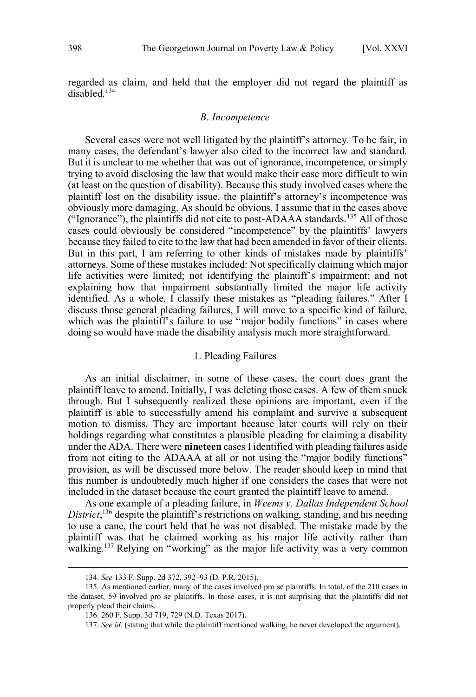<span id="page-15-0"></span> regarded as claim, and held that the employer did not regard the plaintiff as  $disahled$ <sup>134</sup>

# *B. Incompetence*

 Several cases were not well litigated by the plaintiff's attorney. To be fair, in many cases, the defendant's lawyer also cited to the incorrect law and standard. But it is unclear to me whether that was out of ignorance, incompetence, or simply trying to avoid disclosing the law that would make their case more difficult to win (at least on the question of disability). Because this study involved cases where the plaintiff lost on the disability issue, the plaintiff's attorney's incompetence was ("Ignorance"), the plaintiffs did not cite to post-ADAAA standards.<sup>135</sup> All of those cases could obviously be considered "incompetence" by the plaintiffs' lawyers because they failed to cite to the law that had been amended in favor of their clients. But in this part, I am referring to other kinds of mistakes made by plaintiffs' attorneys. Some of these mistakes included: Not specifically claiming which major life activities were limited; not identifying the plaintiff's impairment; and not explaining how that impairment substantially limited the major life activity identified. As a whole, I classify these mistakes as "pleading failures." After I discuss those general pleading failures, I will move to a specific kind of failure, which was the plaintiff's failure to use "major bodily functions" in cases where doing so would have made the disability analysis much more straightforward. obviously more damaging. As should be obvious, I assume that in the cases above

# 1. Pleading Failures

 As an initial disclaimer, in some of these cases, the court does grant the plaintiff leave to amend. Initially, I was deleting those cases. A few of them snuck through. But I subsequently realized these opinions are important, even if the plaintiff is able to successfully amend his complaint and survive a subsequent motion to dismiss. They are important because later courts will rely on their holdings regarding what constitutes a plausible pleading for claiming a disability under the ADA. There were **nineteen** cases I identified with pleading failures aside from not citing to the ADAAA at all or not using the "major bodily functions" provision, as will be discussed more below. The reader should keep in mind that this number is undoubtedly much higher if one considers the cases that were not included in the dataset because the court granted the plaintiff leave to amend.

 *District*, 136 despite the plaintiff's restrictions on walking, standing, and his needing to use a cane, the court held that he was not disabled. The mistake made by the plaintiff was that he claimed working as his major life activity rather than walking.<sup>137</sup> Relying on "working" as the major life activity was a very common As one example of a pleading failure, in *Weems v. Dallas Independent School* 

<sup>134.</sup> *See* 133 F. Supp. 2d 372, 392–93 (D. P.R. 2015).

 135. As mentioned earlier, many of the cases involved pro se plaintiffs. In total, of the 210 cases in the dataset, 59 involved pro se plaintiffs. In those cases, it is not surprising that the plaintiffs did not properly plead their claims.

 136. 260 F. Supp. 3d 719, 729 (N.D. Texas 2017).

<sup>137.</sup> *See id.* (stating that while the plaintiff mentioned walking, he never developed the argument).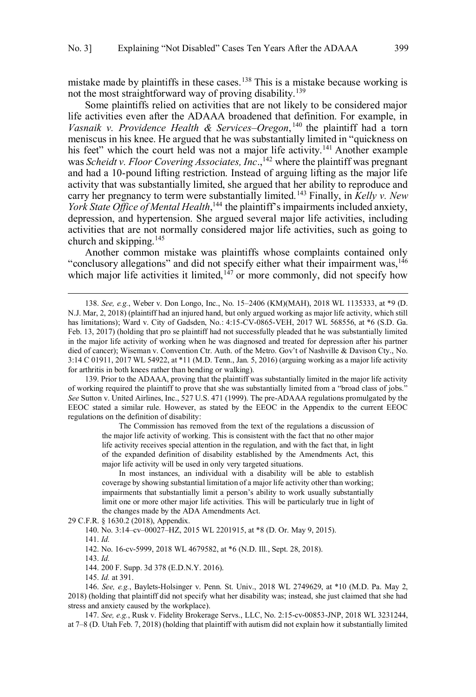mistake made by plaintiffs in these cases.<sup>138</sup> This is a mistake because working is not the most straightforward way of proving disability.<sup>139</sup>

 Some plaintiffs relied on activities that are not likely to be considered major life activities even after the ADAAA broadened that definition. For example, in Vasnaik v. Providence Health & Services–Oregon,<sup>140</sup> the plaintiff had a torn meniscus in his knee. He argued that he was substantially limited in "quickness on his feet" which the court held was not a major life activity.<sup>141</sup> Another example was *Scheidt v. Floor Covering Associates, Inc.*,<sup>142</sup> where the plaintiff was pregnant and had a 10-pound lifting restriction. Instead of arguing lifting as the major life activity that was substantially limited, she argued that her ability to reproduce and carry her pregnancy to term were substantially limited.143 Finally, in *Kelly v. New*  York State Office of Mental Health,<sup>144</sup> the plaintiff's impairments included anxiety, depression, and hypertension. She argued several major life activities, including activities that are not normally considered major life activities, such as going to church and skipping.145

"conclusory allegations" and did not specify either what their impairment was,<sup>146</sup> which major life activities it limited,<sup>147</sup> or more commonly, did not specify how Another common mistake was plaintiffs whose complaints contained only

 139. Prior to the ADAAA, proving that the plaintiff was substantially limited in the major life activity of working required the plaintiff to prove that she was substantially limited from a "broad class of jobs." *See* Sutton v. United Airlines, Inc., 527 U.S. 471 (1999). The pre-ADAAA regulations promulgated by the EEOC stated a similar rule. However, as stated by the EEOC in the Appendix to the current EEOC regulations on the definition of disability:

> The Commission has removed from the text of the regulations a discussion of the major life activity of working. This is consistent with the fact that no other major life activity receives special attention in the regulation, and with the fact that, in light of the expanded definition of disability established by the Amendments Act, this major life activity will be used in only very targeted situations.

> In most instances, an individual with a disability will be able to establish coverage by showing substantial limitation of a major life activity other than working; impairments that substantially limit a person's ability to work usually substantially limit one or more other major life activities. This will be particularly true in light of the changes made by the ADA Amendments Act.

29 C.F.R. § 1630.2 (2018), Appendix.

140. No. 3:14–cv–00027–HZ, 2015 WL 2201915, at \*8 (D. Or. May 9, 2015).

141. *Id.* 

 $\overline{a}$ 

142. No. 16-cv-5999, 2018 WL 4679582, at \*6 (N.D. Ill., Sept. 28, 2018).

143. *Id.* 

144. 200 F. Supp. 3d 378 (E.D.N.Y. 2016).

145. *Id.* at 391.

 146. *See, e.g.*, Baylets-Holsinger v. Penn. St. Univ., 2018 WL 2749629, at \*10 (M.D. Pa. May 2, 2018) (holding that plaintiff did not specify what her disability was; instead, she just claimed that she had stress and anxiety caused by the workplace). stress and anxiety caused by the workplace). 147. *See, e.g.*, Rusk v. Fidelity Brokerage Servs., LLC, No. 2:15-cv-00853-JNP, 2018 WL 3231244,

at 7–8 (D. Utah Feb. 7, 2018) (holding that plaintiff with autism did not explain how it substantially limited

 N.J. Mar, 2, 2018) (plaintiff had an injured hand, but only argued working as major life activity, which still has limitations); Ward v. City of Gadsden, No.: 4:15-CV-0865-VEH, 2017 WL 568556, at \*6 (S.D. Ga. Feb. 13, 2017) (holding that pro se plaintiff had not successfully pleaded that he was substantially limited in the major life activity of working when he was diagnosed and treated for depression after his partner died of cancer); Wiseman v. Convention Ctr. Auth. of the Metro. Gov't of Nashville & Davison Cty., No. 3:14 C 01911, 2017 WL 54922, at \*11 (M.D. Tenn., Jan. 5, 2016) (arguing working as a major life activity for arthritis in both knees rather than bending or walking). 138. *See, e.g.*, Weber v. Don Longo, Inc., No. 15–2406 (KM)(MAH), 2018 WL 1135333, at \*9 (D.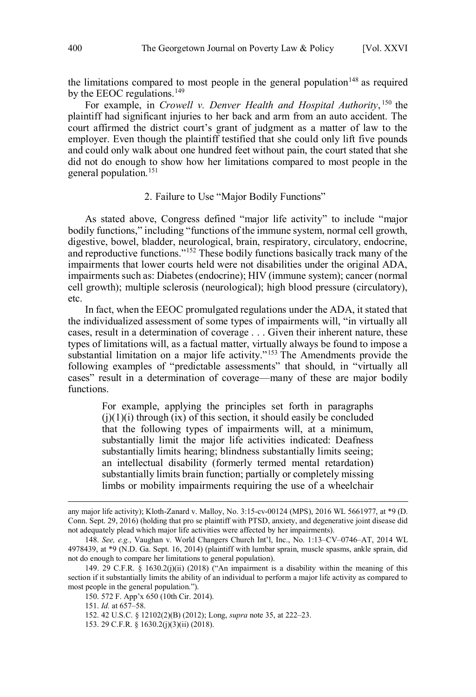<span id="page-17-0"></span>the limitations compared to most people in the general population<sup>148</sup> as required by the EEOC regulations.<sup>149</sup>

 For example, in *Crowell v. Denver Health and Hospital Authority*, 150 the plaintiff had significant injuries to her back and arm from an auto accident. The court affirmed the district court's grant of judgment as a matter of law to the employer. Even though the plaintiff testified that she could only lift five pounds and could only walk about one hundred feet without pain, the court stated that she did not do enough to show how her limitations compared to most people in the general population.<sup>151</sup>

# 2. Failure to Use "Major Bodily Functions"

 As stated above, Congress defined "major life activity" to include "major bodily functions," including "functions of the immune system, normal cell growth, and reproductive functions."<sup>152</sup> These bodily functions basically track many of the impairments that lower courts held were not disabilities under the original ADA, impairments such as: Diabetes (endocrine); HIV (immune system); cancer (normal cell growth); multiple sclerosis (neurological); high blood pressure (circulatory), digestive, bowel, bladder, neurological, brain, respiratory, circulatory, endocrine, etc.

 In fact, when the EEOC promulgated regulations under the ADA, it stated that the individualized assessment of some types of impairments will, "in virtually all cases, result in a determination of coverage . . . Given their inherent nature, these substantial limitation on a major life activity."<sup>153</sup> The Amendments provide the following examples of "predictable assessments" that should, in "virtually all cases" result in a determination of coverage—many of these are major bodily types of limitations will, as a factual matter, virtually always be found to impose a functions.

 For example, applying the principles set forth in paragraphs  $(j)(1)(i)$  through  $(ix)$  of this section, it should easily be concluded that the following types of impairments will, at a minimum, substantially limit the major life activities indicated: Deafness substantially limits hearing; blindness substantially limits seeing; an intellectual disability (formerly termed mental retardation) substantially limits brain function; partially or completely missing limbs or mobility impairments requiring the use of a wheelchair

 Conn. Sept. 29, 2016) (holding that pro se plaintiff with PTSD, anxiety, and degenerative joint disease did not adequately plead which major life activities were affected by her impairments). any major life activity); Kloth-Zanard v. Malloy, No. 3:15-cv-00124 (MPS), 2016 WL 5661977, at \*9 (D.

 148. *See, e.g.*, Vaughan v. World Changers Church Int'l, Inc., No. 1:13–CV–0746–AT, 2014 WL 4978439, at \*9 (N.D. Ga. Sept. 16, 2014) (plaintiff with lumbar sprain, muscle spasms, ankle sprain, did not do enough to compare her limitations to general population).

 149. 29 C.F.R. § 1630.2(j)(ii) (2018) ("An impairment is a disability within the meaning of this section if it substantially limits the ability of an individual to perform a major life activity as compared to most people in the general population.").

 150. 572 F. App'x 650 (10th Cir. 2014).

 151. *Id.* at 657–58.

 152. 42 U.S.C. § 12102(2)(B) (2012); Long, *supra* note 35, at 222–23.

 153. 29 C.F.R. § 1630.2(j)(3)(ii) (2018).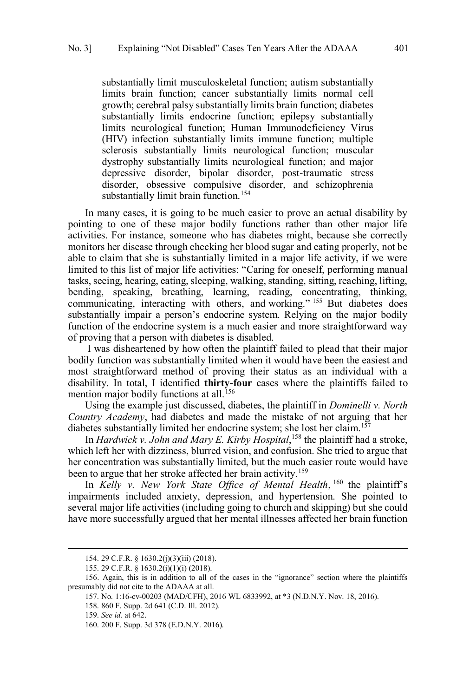substantially limit musculoskeletal function; autism substantially limits brain function; cancer substantially limits normal cell growth; cerebral palsy substantially limits brain function; diabetes substantially limits endocrine function; epilepsy substantially limits neurological function; Human Immunodeficiency Virus (HIV) infection substantially limits immune function; multiple sclerosis substantially limits neurological function; muscular dystrophy substantially limits neurological function; and major depressive disorder, bipolar disorder, post-traumatic stress substantially limit brain function.<sup>154</sup> disorder, obsessive compulsive disorder, and schizophrenia

 In many cases, it is going to be much easier to prove an actual disability by pointing to one of these major bodily functions rather than other major life activities. For instance, someone who has diabetes might, because she correctly monitors her disease through checking her blood sugar and eating properly, not be able to claim that she is substantially limited in a major life activity, if we were limited to this list of major life activities: "Caring for oneself, performing manual communicating, interacting with others, and working."<sup>155</sup> But diabetes does substantially impair a person's endocrine system. Relying on the major bodily function of the endocrine system is a much easier and more straightforward way of proving that a person with diabetes is disabled. tasks, seeing, hearing, eating, sleeping, walking, standing, sitting, reaching, lifting, bending, speaking, breathing, learning, reading, concentrating, thinking,

 I was disheartened by how often the plaintiff failed to plead that their major bodily function was substantially limited when it would have been the easiest and most straightforward method of proving their status as an individual with a disability. In total, I identified **thirty-four** cases where the plaintiffs failed to mention major bodily functions at all.<sup>156</sup>

 Using the example just discussed, diabetes, the plaintiff in *Dominelli v. North Country Academy*, had diabetes and made the mistake of not arguing that her diabetes substantially limited her endocrine system; she lost her claim.<sup>157</sup>

 In *Hardwick v. John and Mary E. Kirby Hospital*, 158 the plaintiff had a stroke, which left her with dizziness, blurred vision, and confusion. She tried to argue that her concentration was substantially limited, but the much easier route would have been to argue that her stroke affected her brain activity.<sup>159</sup>

 In *Kelly v. New York State Office of Mental Health*, 160 the plaintiff's impairments included anxiety, depression, and hypertension. She pointed to several major life activities (including going to church and skipping) but she could have more successfully argued that her mental illnesses affected her brain function

<sup>154. 29</sup> C.F.R. § 1630.2(j)(3)(iii) (2018).

 155. 29 C.F.R. § 1630.2(i)(1)(i) (2018).

 156. Again, this is in addition to all of the cases in the "ignorance" section where the plaintiffs presumably did not cite to the ADAAA at all.

 157. No. 1:16-cv-00203 (MAD/CFH), 2016 WL 6833992, at \*3 (N.D.N.Y. Nov. 18, 2016).

 158. 860 F. Supp. 2d 641 (C.D. Ill. 2012).

 159. *See id.* at 642.

 160. 200 F. Supp. 3d 378 (E.D.N.Y. 2016).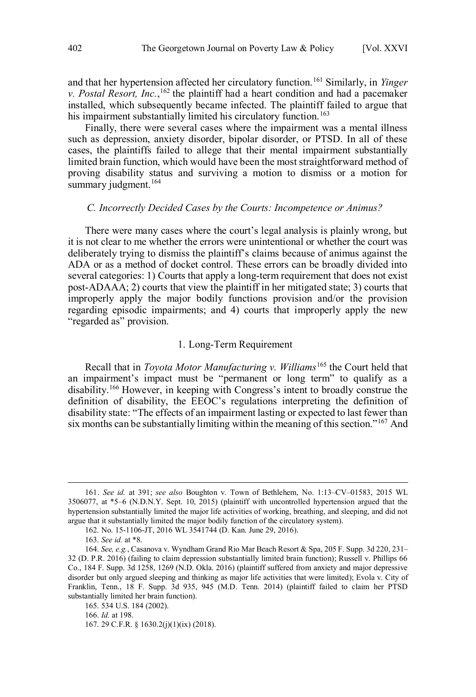<span id="page-19-0"></span>and that her hypertension affected her circulatory function.<sup>161</sup> Similarly, in *Yinger v. Postal Resort, Inc.*, <sup>162</sup> the plaintiff had a heart condition and had a pacemaker installed, which subsequently became infected. The plaintiff failed to argue that his impairment substantially limited his circulatory function.<sup>163</sup>

 Finally, there were several cases where the impairment was a mental illness such as depression, anxiety disorder, bipolar disorder, or PTSD. In all of these cases, the plaintiffs failed to allege that their mental impairment substantially limited brain function, which would have been the most straightforward method of proving disability status and surviving a motion to dismiss or a motion for summary judgment.<sup>164</sup>

# *C. Incorrectly Decided Cases by the Courts: Incompetence or Animus?*

 There were many cases where the court's legal analysis is plainly wrong, but it is not clear to me whether the errors were unintentional or whether the court was deliberately trying to dismiss the plaintiff's claims because of animus against the ADA or as a method of docket control. These errors can be broadly divided into several categories: 1) Courts that apply a long-term requirement that does not exist post-ADAAA; 2) courts that view the plaintiff in her mitigated state; 3) courts that improperly apply the major bodily functions provision and/or the provision regarding episodic impairments; and 4) courts that improperly apply the new "regarded as" provision.

# 1. Long-Term Requirement

 Recall that in *Toyota Motor Manufacturing v. Williams*165 the Court held that an impairment's impact must be "permanent or long term" to qualify as a disability.<sup>166</sup> However, in keeping with Congress's intent to broadly construe the definition of disability, the EEOC's regulations interpreting the definition of disability state: "The effects of an impairment lasting or expected to last fewer than six months can be substantially limiting within the meaning of this section."<sup>167</sup> And

 $\overline{a}$ 

167. 29 C.F.R. § 1630.2(j)(1)(ix) (2018).

 3506077, at \*5–6 (N.D.N.Y. Sept. 10, 2015) (plaintiff with uncontrolled hypertension argued that the hypertension substantially limited the major life activities of working, breathing, and sleeping, and did not argue that it substantially limited the major bodily function of the circulatory system). 161. *See id.* at 391; *see also* Boughton v. Town of Bethlehem, No. 1:13–CV–01583, 2015 WL

 162. No. 15-1106-JT, 2016 WL 3541744 (D. Kan. June 29, 2016).

 163. *See id.* at \*8.

 164. *See, e.g.*, Casanova v. Wyndham Grand Rio Mar Beach Resort & Spa, 205 F. Supp. 3d 220, 231– 32 (D. P.R. 2016) (failing to claim depression substantially limited brain function); Russell v. Phillips 66 Co., 184 F. Supp. 3d 1258, 1269 (N.D. Okla. 2016) (plaintiff suffered from anxiety and major depressive disorder but only argued sleeping and thinking as major life activities that were limited); Evola v. City of Franklin, Tenn., 18 F. Supp. 3d 935, 945 (M.D. Tenn. 2014) (plaintiff failed to claim her PTSD substantially limited her brain function).

 165. 534 U.S. 184 (2002).

 166. *Id.* at 198.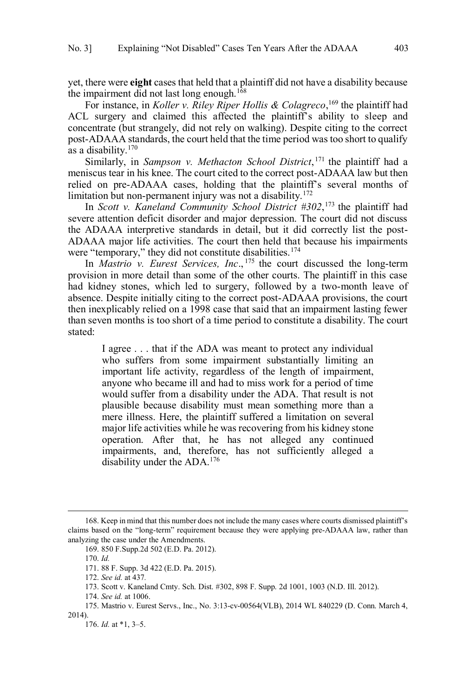yet, there were **eight** cases that held that a plaintiff did not have a disability because the impairment did not last long enough.<sup>168</sup>

 For instance, in *Koller v. Riley Riper Hollis & Colagreco*, 169 the plaintiff had ACL surgery and claimed this affected the plaintiff's ability to sleep and concentrate (but strangely, did not rely on walking). Despite citing to the correct post-ADAAA standards, the court held that the time period was too short to qualify as a disability.<sup>170</sup>

 Similarly, in *Sampson v. Methacton School District*, 171 the plaintiff had a meniscus tear in his knee. The court cited to the correct post-ADAAA law but then relied on pre-ADAAA cases, holding that the plaintiff's several months of limitation but non-permanent injury was not a disability.<sup>172</sup>

 In *Scott v. Kaneland Community School District #302*, 173 the plaintiff had severe attention deficit disorder and major depression. The court did not discuss the ADAAA interpretive standards in detail, but it did correctly list the post- ADAAA major life activities. The court then held that because his impairments were "temporary," they did not constitute disabilities.<sup>174</sup>

 In *Mastrio v. Eurest Services, Inc*., 175 the court discussed the long-term provision in more detail than some of the other courts. The plaintiff in this case had kidney stones, which led to surgery, followed by a two-month leave of absence. Despite initially citing to the correct post-ADAAA provisions, the court then inexplicably relied on a 1998 case that said that an impairment lasting fewer than seven months is too short of a time period to constitute a disability. The court stated: stated:<br>I agree ... that if the ADA was meant to protect any individual

 who suffers from some impairment substantially limiting an important life activity, regardless of the length of impairment, anyone who became ill and had to miss work for a period of time would suffer from a disability under the ADA. That result is not plausible because disability must mean something more than a mere illness. Here, the plaintiff suffered a limitation on several major life activities while he was recovering from his kidney stone operation. After that, he has not alleged any continued impairments, and, therefore, has not sufficiently alleged a disability under the ADA.<sup>176</sup>

 $\overline{a}$ 

176. *Id.* at \*1, 3–5.

 claims based on the "long-term" requirement because they were applying pre-ADAAA law, rather than 168. Keep in mind that this number does not include the many cases where courts dismissed plaintiff's analyzing the case under the Amendments.

 169. 850 F.Supp.2d 502 (E.D. Pa. 2012).

 170. *Id.* 

 171. 88 F. Supp. 3d 422 (E.D. Pa. 2015).

 172. *See id.* at 437*.* 

 173. Scott v. Kaneland Cmty. Sch. Dist. #302, 898 F. Supp. 2d 1001, 1003 (N.D. Ill. 2012).

 174. *See id.* at 1006.

 175. Mastrio v. Eurest Servs., Inc., No. 3:13-cv-00564(VLB), 2014 WL 840229 (D. Conn. March 4, 2014).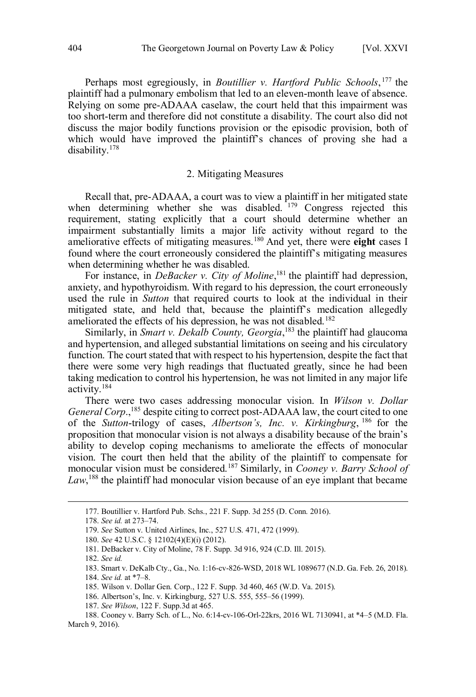<span id="page-21-0"></span> Perhaps most egregiously, in *Boutillier v. Hartford Public Schools*, 177 the plaintiff had a pulmonary embolism that led to an eleven-month leave of absence. Relying on some pre-ADAAA caselaw, the court held that this impairment was too short-term and therefore did not constitute a disability. The court also did not discuss the major bodily functions provision or the episodic provision, both of which would have improved the plaintiff's chances of proving she had a disability.178

# 2. Mitigating Measures

 Recall that, pre-ADAAA, a court was to view a plaintiff in her mitigated state when determining whether she was disabled. <sup>179</sup> Congress rejected this requirement, stating explicitly that a court should determine whether an impairment substantially limits a major life activity without regard to the ameliorative effects of mitigating measures.180 And yet, there were **eight** cases I found where the court erroneously considered the plaintiff's mitigating measures when determining whether he was disabled.

For instance, in *DeBacker v. City of Moline*,<sup>181</sup> the plaintiff had depression, used the rule in *Sutton* that required courts to look at the individual in their mitigated state, and held that, because the plaintiff's medication allegedly ameliorated the effects of his depression, he was not disabled.<sup>182</sup> anxiety, and hypothyroidism. With regard to his depression, the court erroneously

 Similarly, in *Smart v. Dekalb County, Georgia*, 183 the plaintiff had glaucoma function. The court stated that with respect to his hypertension, despite the fact that there were some very high readings that fluctuated greatly, since he had been taking medication to control his hypertension, he was not limited in any major life and hypertension, and alleged substantial limitations on seeing and his circulatory activity.184

 There were two cases addressing monocular vision. In *Wilson v. Dollar General Corp.*,<sup>185</sup> despite citing to correct post-ADAAA law, the court cited to one of the *Sutton*-trilogy of cases, *Albertson's, Inc. v. Kirkingburg*, 186 for the ability to develop coping mechanisms to ameliorate the effects of monocular vision. The court then held that the ability of the plaintiff to compensate for monocular vision must be considered.187 Similarly, in *Cooney v. Barry School of*  Law,<sup>188</sup> the plaintiff had monocular vision because of an eye implant that became proposition that monocular vision is not always a disability because of the brain's

<sup>177.</sup> Boutillier v. Hartford Pub. Schs., 221 F. Supp. 3d 255 (D. Conn. 2016).

 178. *See id.* at 273–74.

 179. *See* Sutton v. United Airlines, Inc., 527 U.S. 471, 472 (1999).

 180. *See* 42 U.S.C. § 12102(4)(E)(i) (2012).

 181. DeBacker v. City of Moline, 78 F. Supp. 3d 916, 924 (C.D. Ill. 2015).

 182. *See id.* 

 183. Smart v. DeKalb Cty., Ga., No. 1:16-cv-826-WSD, 2018 WL 1089677 (N.D. Ga. Feb. 26, 2018).

 184. *See id.* at \*7–8.

 185. Wilson v. Dollar Gen. Corp., 122 F. Supp. 3d 460, 465 (W.D. Va. 2015).

 186. Albertson's, Inc. v. Kirkingburg, 527 U.S. 555, 555–56 (1999).

 187. *See Wilson*, 122 F. Supp.3d at 465.

 188. Cooney v. Barry Sch. of L., No. 6:14-cv-106-Orl-22krs, 2016 WL 7130941, at \*4–5 (M.D. Fla. March 9, 2016).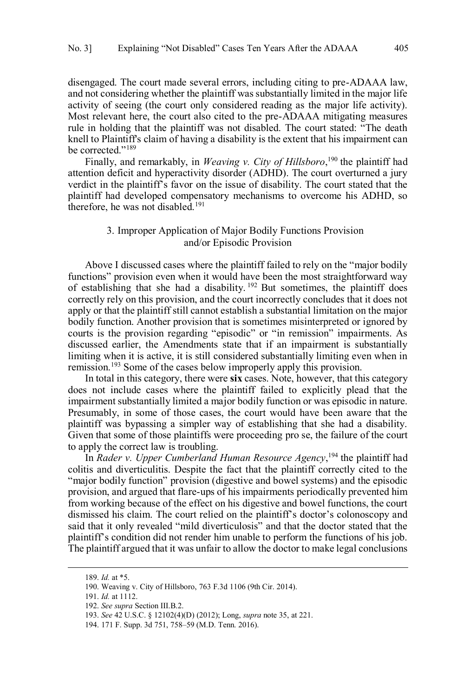<span id="page-22-0"></span> disengaged. The court made several errors, including citing to pre-ADAAA law, and not considering whether the plaintiff was substantially limited in the major life activity of seeing (the court only considered reading as the major life activity). Most relevant here, the court also cited to the pre-ADAAA mitigating measures rule in holding that the plaintiff was not disabled. The court stated: "The death knell to Plaintiff's claim of having a disability is the extent that his impairment can be corrected."<sup>189</sup>

Finally, and remarkably, in *Weaving v. City of Hillsboro*,<sup>190</sup> the plaintiff had attention deficit and hyperactivity disorder (ADHD). The court overturned a jury verdict in the plaintiff's favor on the issue of disability. The court stated that the plaintiff had developed compensatory mechanisms to overcome his ADHD, so therefore, he was not disabled.<sup>191</sup>

# 3. Improper Application of Major Bodily Functions Provision and/or Episodic Provision

 Above I discussed cases where the plaintiff failed to rely on the "major bodily functions" provision even when it would have been the most straightforward way of establishing that she had a disability.<sup>192</sup> But sometimes, the plaintiff does correctly rely on this provision, and the court incorrectly concludes that it does not apply or that the plaintiff still cannot establish a substantial limitation on the major courts is the provision regarding "episodic" or "in remission" impairments. As discussed earlier, the Amendments state that if an impairment is substantially limiting when it is active, it is still considered substantially limiting even when in remission.<sup>193</sup> Some of the cases below improperly apply this provision. bodily function. Another provision that is sometimes misinterpreted or ignored by

 In total in this category, there were **six** cases. Note, however, that this category does not include cases where the plaintiff failed to explicitly plead that the impairment substantially limited a major bodily function or was episodic in nature. Presumably, in some of those cases, the court would have been aware that the plaintiff was bypassing a simpler way of establishing that she had a disability. Given that some of those plaintiffs were proceeding pro se, the failure of the court to apply the correct law is troubling.

 In *Rader v. Upper Cumberland Human Resource Agency*, 194 the plaintiff had colitis and diverticulitis. Despite the fact that the plaintiff correctly cited to the "major bodily function" provision (digestive and bowel systems) and the episodic provision, and argued that flare-ups of his impairments periodically prevented him from working because of the effect on his digestive and bowel functions, the court dismissed his claim. The court relied on the plaintiff's doctor's colonoscopy and said that it only revealed "mild diverticulosis" and that the doctor stated that the plaintiff's condition did not render him unable to perform the functions of his job. The plaintiff argued that it was unfair to allow the doctor to make legal conclusions

 $\overline{a}$ 

191. *Id.* at 1112.

<sup>189.</sup> *Id.* at \*5.

 190. Weaving v. City of Hillsboro, 763 F.3d 1106 (9th Cir. 2014).

 192. *See supra* Section III.B.2.

 193. *See* 42 U.S.C. § 12102(4)(D) (2012); Long, *supra* note 35, at 221.

 194. 171 F. Supp. 3d 751, 758–59 (M.D. Tenn. 2016).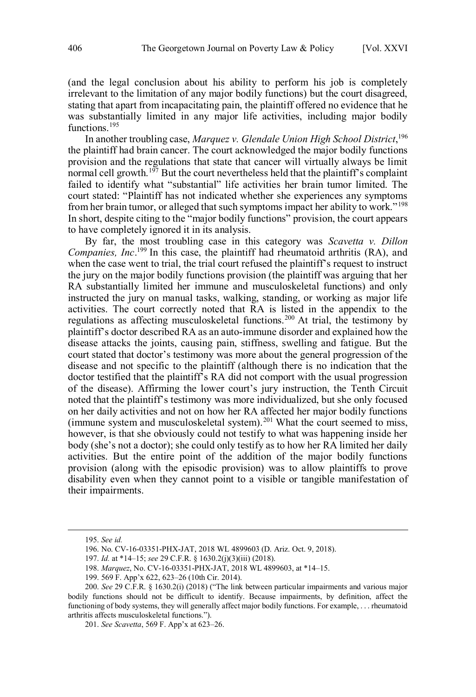(and the legal conclusion about his ability to perform his job is completely irrelevant to the limitation of any major bodily functions) but the court disagreed, stating that apart from incapacitating pain, the plaintiff offered no evidence that he was substantially limited in any major life activities, including major bodily functions<sup>195</sup>

 In another troubling case, *Marquez v. Glendale Union High School District*, 196 the plaintiff had brain cancer. The court acknowledged the major bodily functions provision and the regulations that state that cancer will virtually always be limit normal cell growth.<sup>197</sup> But the court nevertheless held that the plaintiff's complaint failed to identify what "substantial" life activities her brain tumor limited. The court stated: "Plaintiff has not indicated whether she experiences any symptoms from her brain tumor, or alleged that such symptoms impact her ability to work."<sup>198</sup> In short, despite citing to the "major bodily functions" provision, the court appears to have completely ignored it in its analysis.

 By far, the most troubling case in this category was *Scavetta v. Dillon Companies, Inc*. 199 In this case, the plaintiff had rheumatoid arthritis (RA), and the jury on the major bodily functions provision (the plaintiff was arguing that her RA substantially limited her immune and musculoskeletal functions) and only instructed the jury on manual tasks, walking, standing, or working as major life activities. The court correctly noted that RA is listed in the appendix to the regulations as affecting musculoskeletal functions.<sup>200</sup> At trial, the testimony by plaintiff's doctor described RA as an auto-immune disorder and explained how the disease attacks the joints, causing pain, stiffness, swelling and fatigue. But the court stated that doctor's testimony was more about the general progression of the disease and not specific to the plaintiff (although there is no indication that the doctor testified that the plaintiff's RA did not comport with the usual progression of the disease). Affirming the lower court's jury instruction, the Tenth Circuit on her daily activities and not on how her RA affected her major bodily functions (immune system and musculoskeletal system). $^{201}$  What the court seemed to miss, however, is that she obviously could not testify to what was happening inside her body (she's not a doctor); she could only testify as to how her RA limited her daily activities. But the entire point of the addition of the major bodily functions provision (along with the episodic provision) was to allow plaintiffs to prove disability even when they cannot point to a visible or tangible manifestation of when the case went to trial, the trial court refused the plaintiff's request to instruct noted that the plaintiff's testimony was more individualized, but she only focused their impairments.

<sup>195.</sup> *See id.* 

 196. No. CV-16-03351-PHX-JAT, 2018 WL 4899603 (D. Ariz. Oct. 9, 2018).

 197. *Id.* at \*14–15; *see* 29 C.F.R. § 1630.2(j)(3)(iii) (2018).

 198. *Marquez*, No. CV-16-03351-PHX-JAT, 2018 WL 4899603, at \*14–15.

 199. 569 F. App'x 622, 623–26 (10th Cir. 2014).

 200. *See* 29 C.F.R. § 1630.2(i) (2018) ("The link between particular impairments and various major bodily functions should not be difficult to identify. Because impairments, by definition, affect the functioning of body systems, they will generally affect major bodily functions. For example, . . . rheumatoid arthritis affects musculoskeletal functions.").

 201. *See Scavetta*, 569 F. App'x at 623–26.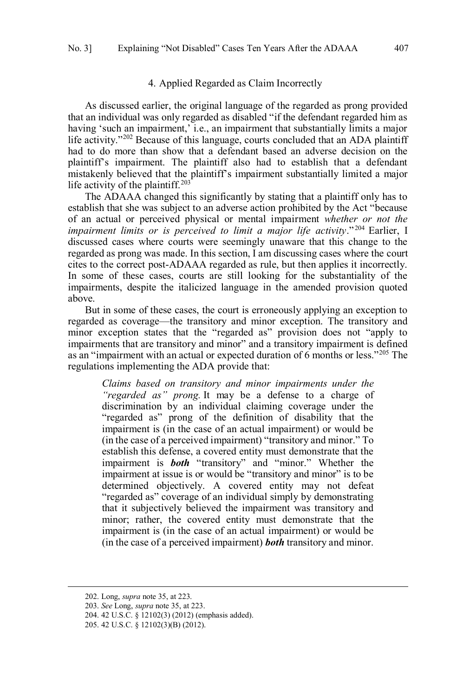# 4. Applied Regarded as Claim Incorrectly

<span id="page-24-0"></span> As discussed earlier, the original language of the regarded as prong provided that an individual was only regarded as disabled "if the defendant regarded him as having 'such an impairment,' i.e., an impairment that substantially limits a major life activity."<sup>202</sup> Because of this language, courts concluded that an ADA plaintiff had to do more than show that a defendant based an adverse decision on the plaintiff's impairment. The plaintiff also had to establish that a defendant mistakenly believed that the plaintiff's impairment substantially limited a major life activity of the plaintiff.<sup>203</sup>

 The ADAAA changed this significantly by stating that a plaintiff only has to establish that she was subject to an adverse action prohibited by the Act "because of an actual or perceived physical or mental impairment *whether or not the impairment limits or is perceived to limit a major life activity*." 204 Earlier, I discussed cases where courts were seemingly unaware that this change to the regarded as prong was made. In this section, I am discussing cases where the court cites to the correct post-ADAAA regarded as rule, but then applies it incorrectly. In some of these cases, courts are still looking for the substantiality of the impairments, despite the italicized language in the amended provision quoted above.

 But in some of these cases, the court is erroneously applying an exception to regarded as coverage—the transitory and minor exception. The transitory and minor exception states that the "regarded as" provision does not "apply to impairments that are transitory and minor" and a transitory impairment is defined as an "impairment with an actual or expected duration of 6 months or less."<sup>205</sup> The regulations implementing the ADA provide that:

 *"regarded as" prong.* It may be a defense to a charge of discrimination by an individual claiming coverage under the "regarded as" prong of the definition of disability that the impairment is (in the case of an actual impairment) or would be (in the case of a perceived impairment) "transitory and minor." To establish this defense, a covered entity must demonstrate that the impairment is *both* "transitory" and "minor." Whether the determined objectively. A covered entity may not defeat that it subjectively believed the impairment was transitory and minor; rather, the covered entity must demonstrate that the impairment is (in the case of an actual impairment) or would be (in the case of a perceived impairment) *both* transitory and minor. *Claims based on transitory and minor impairments under the*  impairment at issue is or would be "transitory and minor" is to be "regarded as" coverage of an individual simply by demonstrating

<sup>202.</sup> Long, *supra* note 35, at 223.

 203. *See* Long, *supra* note 35, at 223.

 204. 42 U.S.C. § 12102(3) (2012) (emphasis added).

 205. 42 U.S.C. § 12102(3)(B) (2012).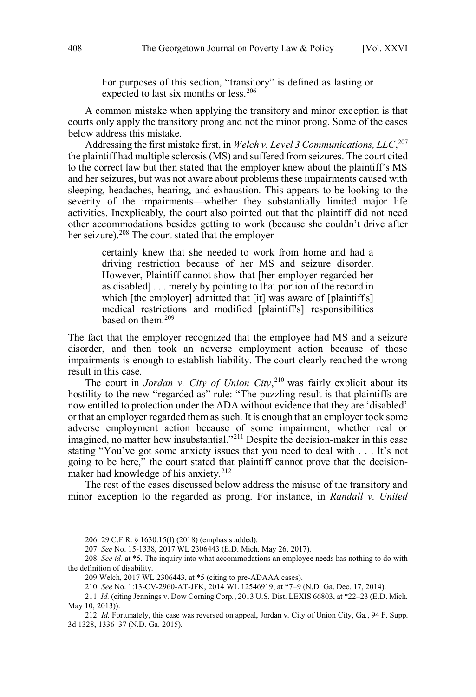For purposes of this section, "transitory" is defined as lasting or expected to last six months or less.<sup>206</sup>

 A common mistake when applying the transitory and minor exception is that courts only apply the transitory prong and not the minor prong. Some of the cases below address this mistake.

 Addressing the first mistake first, in *Welch v. Level 3 Communications, LLC*, 207 the plaintiff had multiple sclerosis (MS) and suffered from seizures. The court cited to the correct law but then stated that the employer knew about the plaintiff's MS and her seizures, but was not aware about problems these impairments caused with sleeping, headaches, hearing, and exhaustion. This appears to be looking to the severity of the impairments—whether they substantially limited major life activities. Inexplicably, the court also pointed out that the plaintiff did not need other accommodations besides getting to work (because she couldn't drive after her seizure).<sup>208</sup> The court stated that the employer

> certainly knew that she needed to work from home and had a driving restriction because of her MS and seizure disorder. However, Plaintiff cannot show that [her employer regarded her as disabled] . . . merely by pointing to that portion of the record in which [the employer] admitted that [it] was aware of [plaintiff's] medical restrictions and modified [plaintiff's] responsibilities based on them.<sup>209</sup>

 The fact that the employer recognized that the employee had MS and a seizure disorder, and then took an adverse employment action because of those impairments is enough to establish liability. The court clearly reached the wrong result in this case.

 The court in *Jordan v. City of Union City*, 210 was fairly explicit about its hostility to the new "regarded as" rule: "The puzzling result is that plaintiffs are now entitled to protection under the ADA without evidence that they are 'disabled' or that an employer regarded them as such. It is enough that an employer took some adverse employment action because of some impairment, whether real or imagined, no matter how insubstantial."<sup>211</sup> Despite the decision-maker in this case stating "You've got some anxiety issues that you need to deal with . . . It's not going to be here," the court stated that plaintiff cannot prove that the decisionmaker had knowledge of his anxiety.<sup>212</sup>

 The rest of the cases discussed below address the misuse of the transitory and minor exception to the regarded as prong. For instance, in *Randall v. United* 

<sup>206. 29</sup> C.F.R. § 1630.15(f) (2018) (emphasis added).

 207. *See* No. 15-1338, 2017 WL 2306443 (E.D. Mich. May 26, 2017).

<sup>208.</sup> *See id.* at \*5. The inquiry into what accommodations an employee needs has nothing to do with the definition of disability.

 209.Welch, 2017 WL 2306443, at \*5 (citing to pre-ADAAA cases).

 210. *See* No. 1:13-CV-2960-AT-JFK, 2014 WL 12546919, at \*7–9 (N.D. Ga. Dec. 17, 2014).

 211. *Id.* (citing Jennings v. Dow Corning Corp*.*, 2013 U.S. Dist. LEXIS 66803, at \*22–23 (E.D. Mich. May 10, 2013)).

 212. *Id.* Fortunately, this case was reversed on appeal, Jordan v. City of Union City, Ga*.*, 94 F. Supp. 3d 1328, 1336–37 (N.D. Ga. 2015).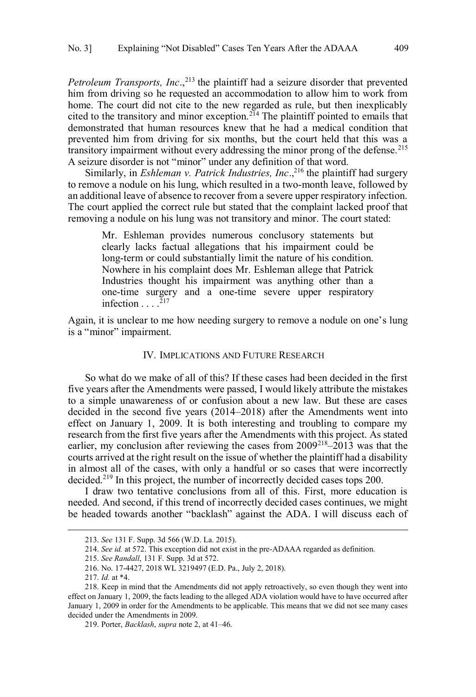<span id="page-26-0"></span>*Petroleum Transports, Inc.*,<sup>213</sup> the plaintiff had a seizure disorder that prevented him from driving so he requested an accommodation to allow him to work from home. The court did not cite to the new regarded as rule, but then inexplicably cited to the transitory and minor exception.<sup>214</sup> The plaintiff pointed to emails that demonstrated that human resources knew that he had a medical condition that prevented him from driving for six months, but the court held that this was a transitory impairment without every addressing the minor prong of the defense.<sup>215</sup> A seizure disorder is not "minor" under any definition of that word.

Similarly, in *Eshleman v. Patrick Industries, Inc.*,<sup>216</sup> the plaintiff had surgery to remove a nodule on his lung, which resulted in a two-month leave, followed by an additional leave of absence to recover from a severe upper respiratory infection. The court applied the correct rule but stated that the complaint lacked proof that removing a nodule on his lung was not transitory and minor. The court stated:

 clearly lacks factual allegations that his impairment could be long-term or could substantially limit the nature of his condition. Nowhere in his complaint does Mr. Eshleman allege that Patrick Industries thought his impairment was anything other than a one-time surgery and a one-time severe upper respiratory infection  $\ldots$ <sup>217</sup> Mr. Eshleman provides numerous conclusory statements but

 Again, it is unclear to me how needing surgery to remove a nodule on one's lung is a "minor" impairment.

#### IV. IMPLICATIONS AND FUTURE RESEARCH

 So what do we make of all of this? If these cases had been decided in the first five years after the Amendments were passed, I would likely attribute the mistakes to a simple unawareness of or confusion about a new law. But these are cases decided in the second five years (2014–2018) after the Amendments went into effect on January 1, 2009. It is both interesting and troubling to compare my research from the first five years after the Amendments with this project. As stated earlier, my conclusion after reviewing the cases from 2009<sup>218</sup>–2013 was that the courts arrived at the right result on the issue of whether the plaintiff had a disability in almost all of the cases, with only a handful or so cases that were incorrectly decided.<sup>219</sup> In this project, the number of incorrectly decided cases tops 200.

 I draw two tentative conclusions from all of this. First, more education is needed. And second, if this trend of incorrectly decided cases continues, we might be headed towards another "backlash" against the ADA. I will discuss each of

<sup>213.</sup> *See* 131 F. Supp. 3d 566 (W.D. La. 2015).

 214. *See id.* at 572. This exception did not exist in the pre-ADAAA regarded as definition.

 215. *See Randall*, 131 F. Supp. 3d at 572.

 216. No. 17-4427, 2018 WL 3219497 (E.D. Pa., July 2, 2018).

 217. *Id.* at \*4.

 218. Keep in mind that the Amendments did not apply retroactively, so even though they went into effect on January 1, 2009, the facts leading to the alleged ADA violation would have to have occurred after January 1, 2009 in order for the Amendments to be applicable. This means that we did not see many cases decided under the Amendments in 2009.

 219. Porter, *Backlash*, *supra* note 2, at 41–46.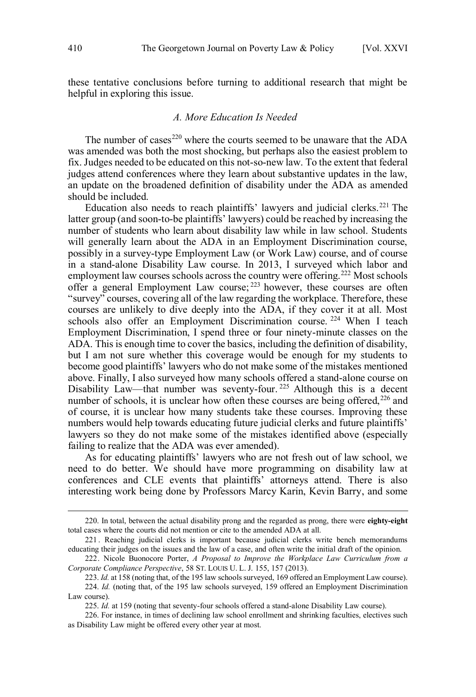<span id="page-27-0"></span> these tentative conclusions before turning to additional research that might be helpful in exploring this issue.

# *A. More Education Is Needed*

The number of cases<sup>220</sup> where the courts seemed to be unaware that the  $ADA$  was amended was both the most shocking, but perhaps also the easiest problem to fix. Judges needed to be educated on this not-so-new law. To the extent that federal judges attend conferences where they learn about substantive updates in the law, an update on the broadened definition of disability under the ADA as amended should be included.

Education also needs to reach plaintiffs' lawyers and judicial clerks.<sup>221</sup> The latter group (and soon-to-be plaintiffs' lawyers) could be reached by increasing the number of students who learn about disability law while in law school. Students will generally learn about the ADA in an Employment Discrimination course, possibly in a survey-type Employment Law (or Work Law) course, and of course in a stand-alone Disability Law course. In 2013, I surveyed which labor and employment law courses schools across the country were offering.<sup>222</sup> Most schools offer a general Employment Law course;  $223$  however, these courses are often "survey" courses, covering all of the law regarding the workplace. Therefore, these courses are unlikely to dive deeply into the ADA, if they cover it at all. Most schools also offer an Employment Discrimination course. <sup>224</sup> When I teach Employment Discrimination, I spend three or four ninety-minute classes on the ADA. This is enough time to cover the basics, including the definition of disability, but I am not sure whether this coverage would be enough for my students to become good plaintiffs' lawyers who do not make some of the mistakes mentioned above. Finally, I also surveyed how many schools offered a stand-alone course on Disability Law—that number was seventy-four.<sup>225</sup> Although this is a decent number of schools, it is unclear how often these courses are being offered,<sup>226</sup> and of course, it is unclear how many students take these courses. Improving these numbers would help towards educating future judicial clerks and future plaintiffs' lawyers so they do not make some of the mistakes identified above (especially failing to realize that the ADA was ever amended).

 As for educating plaintiffs' lawyers who are not fresh out of law school, we need to do better. We should have more programming on disability law at conferences and CLE events that plaintiffs' attorneys attend. There is also interesting work being done by Professors Marcy Karin, Kevin Barry, and some

 total cases where the courts did not mention or cite to the amended ADA at all. 220. In total, between the actual disability prong and the regarded as prong, there were **eighty-eight** 

 221 . Reaching judicial clerks is important because judicial clerks write bench memorandums educating their judges on the issues and the law of a case, and often write the initial draft of the opinion.

 222. Nicole Buonocore Porter, *A Proposal to Improve the Workplace Law Curriculum from a Corporate Compliance Perspective*, 58 ST. LOUIS U. L. J. 155, 157 (2013).

 223. *Id.* at 158 (noting that, of the 195 law schools surveyed, 169 offered an Employment Law course). 224. *Id.* (noting that, of the 195 law schools surveyed, 159 offered an Employment Discrimination Law course).

 225. *Id.* at 159 (noting that seventy-four schools offered a stand-alone Disability Law course).

 226. For instance, in times of declining law school enrollment and shrinking faculties, electives such as Disability Law might be offered every other year at most.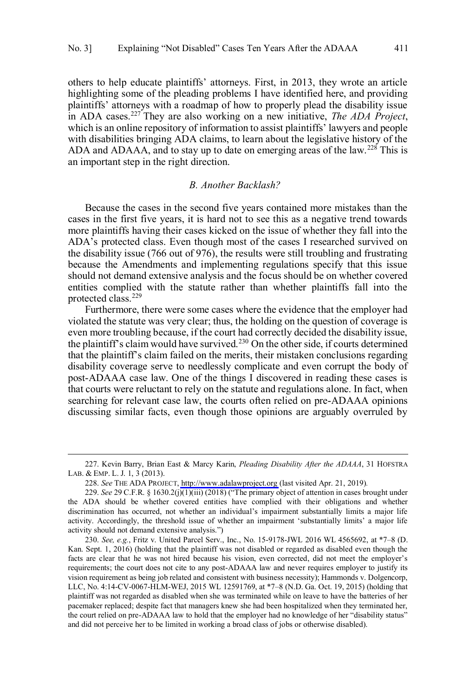<span id="page-28-0"></span> others to help educate plaintiffs' attorneys. First, in 2013, they wrote an article highlighting some of the pleading problems I have identified here, and providing plaintiffs' attorneys with a roadmap of how to properly plead the disability issue in ADA cases.227 They are also working on a new initiative, *The ADA Project*, which is an online repository of information to assist plaintiffs' lawyers and people with disabilities bringing ADA claims, to learn about the legislative history of the ADA and ADAAA, and to stay up to date on emerging areas of the law.<sup>228</sup> This is an important step in the right direction.

## *B. Another Backlash?*

 Because the cases in the second five years contained more mistakes than the cases in the first five years, it is hard not to see this as a negative trend towards more plaintiffs having their cases kicked on the issue of whether they fall into the ADA's protected class. Even though most of the cases I researched survived on because the Amendments and implementing regulations specify that this issue entities complied with the statute rather than whether plaintiffs fall into the the disability issue (766 out of 976), the results were still troubling and frustrating should not demand extensive analysis and the focus should be on whether covered protected class.229

 Furthermore, there were some cases where the evidence that the employer had violated the statute was very clear; thus, the holding on the question of coverage is even more troubling because, if the court had correctly decided the disability issue, the plaintiff's claim would have survived.<sup>230</sup> On the other side, if courts determined disability coverage serve to needlessly complicate and even corrupt the body of post-ADAAA case law. One of the things I discovered in reading these cases is that courts were reluctant to rely on the statute and regulations alone. In fact, when searching for relevant case law, the courts often relied on pre-ADAAA opinions discussing similar facts, even though those opinions are arguably overruled by that the plaintiff's claim failed on the merits, their mistaken conclusions regarding

 LAB. & EMP. L. J. 1, 3 (2013). 227. Kevin Barry, Brian East & Marcy Karin, *Pleading Disability After the ADAAA*, 31 HOFSTRA

 228. *See* THE ADA PROJECT, [http://www.adalawproject.org](http://www.adalawproject.org/) (last visited Apr. 21, 2019)*.* 

 229. *See* 29 C.F.R. § 1630.2(j)(1)(iii) (2018) ("The primary object of attention in cases brought under the ADA should be whether covered entities have complied with their obligations and whether discrimination has occurred, not whether an individual's impairment substantially limits a major life activity. Accordingly, the threshold issue of whether an impairment 'substantially limits' a major life activity should not demand extensive analysis.")

 230. *See, e.g.*, Fritz v. United Parcel Serv., Inc., No. 15-9178-JWL 2016 WL 4565692, at \*7–8 (D. Kan. Sept. 1, 2016) (holding that the plaintiff was not disabled or regarded as disabled even though the facts are clear that he was not hired because his vision, even corrected, did not meet the employer's requirements; the court does not cite to any post-ADAAA law and never requires employer to justify its vision requirement as being job related and consistent with business necessity); Hammonds v. Dolgencorp, LLC, No. 4:14-CV-0067-HLM-WEJ, 2015 WL 12591769, at \*7–8 (N.D. Ga. Oct. 19, 2015) (holding that plaintiff was not regarded as disabled when she was terminated while on leave to have the batteries of her pacemaker replaced; despite fact that managers knew she had been hospitalized when they terminated her, the court relied on pre-ADAAA law to hold that the employer had no knowledge of her "disability status" and did not perceive her to be limited in working a broad class of jobs or otherwise disabled).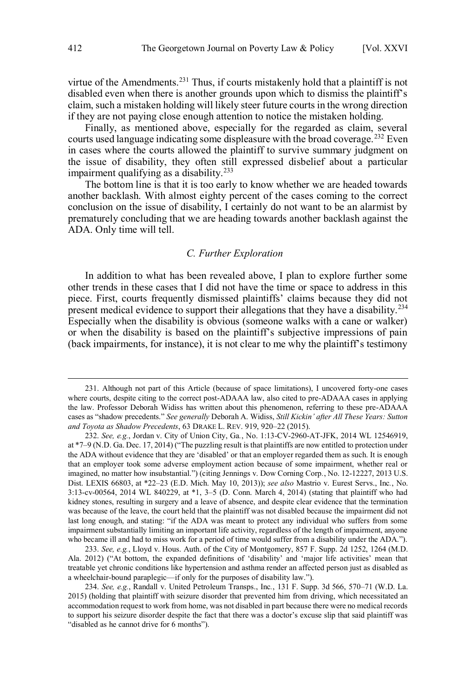<span id="page-29-0"></span>virtue of the Amendments.<sup>231</sup> Thus, if courts mistakenly hold that a plaintiff is not disabled even when there is another grounds upon which to dismiss the plaintiff's claim, such a mistaken holding will likely steer future courts in the wrong direction if they are not paying close enough attention to notice the mistaken holding.

 Finally, as mentioned above, especially for the regarded as claim, several courts used language indicating some displeasure with the broad coverage.<sup>232</sup> Even in cases where the courts allowed the plaintiff to survive summary judgment on the issue of disability, they often still expressed disbelief about a particular impairment qualifying as a disability.<sup>233</sup>

 The bottom line is that it is too early to know whether we are headed towards another backlash. With almost eighty percent of the cases coming to the correct conclusion on the issue of disability, I certainly do not want to be an alarmist by prematurely concluding that we are heading towards another backlash against the ADA. Only time will tell.

# *C. Further Exploration*

 In addition to what has been revealed above, I plan to explore further some other trends in these cases that I did not have the time or space to address in this piece. First, courts frequently dismissed plaintiffs' claims because they did not Especially when the disability is obvious (someone walks with a cane or walker) or when the disability is based on the plaintiff's subjective impressions of pain (back impairments, for instance), it is not clear to me why the plaintiff's testimony present medical evidence to support their allegations that they have a disability.<sup>234</sup>

 233. *See, e.g.*, Lloyd v. Hous. Auth. of the City of Montgomery, 857 F. Supp. 2d 1252, 1264 (M.D. Ala. 2012) ("At bottom, the expanded definitions of 'disability' and 'major life activities' mean that treatable yet chronic conditions like hypertension and asthma render an affected person just as disabled as a wheelchair-bound paraplegic—if only for the purposes of disability law.").

 where courts, despite citing to the correct post-ADAAA law, also cited to pre-ADAAA cases in applying the law. Professor Deborah Widiss has written about this phenomenon, referring to these pre-ADAAA cases as "shadow precedents." *See generally* Deborah A. Widiss, *Still Kickin' after All These Years: Sutton and Toyota as Shadow Precedents*, 63 DRAKE L. REV. 919, 920–22 (2015). 231. Although not part of this Article (because of space limitations), I uncovered forty-one cases

 232. *See, e.g.*, Jordan v. City of Union City, Ga*.*, No. 1:13-CV-2960-AT-JFK, 2014 WL 12546919, at \*7–9 (N.D. Ga. Dec. 17, 2014) ("The puzzling result is that plaintiffs are now entitled to protection under the ADA without evidence that they are 'disabled' or that an employer regarded them as such. It is enough that an employer took some adverse employment action because of some impairment, whether real or imagined, no matter how insubstantial.") (citing Jennings v. Dow Corning Corp*.*, No. 12-12227, 2013 U.S. Dist. LEXIS 66803, at \*22–23 (E.D. Mich. May 10, 2013)); *see also* Mastrio v. Eurest Servs., Inc*.*, No. 3:13-cv-00564, 2014 WL 840229, at \*1, 3–5 (D. Conn. March 4, 2014) (stating that plaintiff who had kidney stones, resulting in surgery and a leave of absence, and despite clear evidence that the termination was because of the leave, the court held that the plaintiff was not disabled because the impairment did not last long enough, and stating: "if the ADA was meant to protect any individual who suffers from some impairment substantially limiting an important life activity, regardless of the length of impairment, anyone who became ill and had to miss work for a period of time would suffer from a disability under the ADA.").

 234. *See, e.g.*, Randall v. United Petroleum Transps., Inc*.*, 131 F. Supp. 3d 566, 570–71 (W.D. La. 2015) (holding that plaintiff with seizure disorder that prevented him from driving, which necessitated an accommodation request to work from home, was not disabled in part because there were no medical records to support his seizure disorder despite the fact that there was a doctor's excuse slip that said plaintiff was "disabled as he cannot drive for 6 months").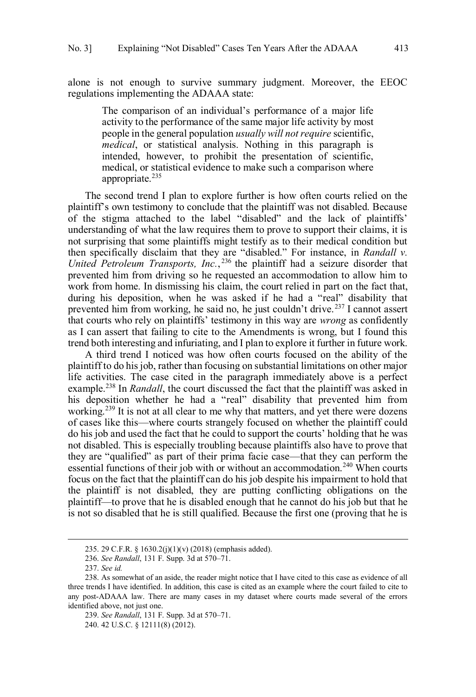alone is not enough to survive summary judgment. Moreover, the EEOC regulations implementing the ADAAA state: regulations implementing the ADAAA state:<br>The comparison of an individual's performance of a major life

 activity to the performance of the same major life activity by most people in the general population *usually will not require* scientific, *medical*, or statistical analysis. Nothing in this paragraph is intended, however, to prohibit the presentation of scientific, medical, or statistical evidence to make such a comparison where appropriate.<sup>235</sup>

 The second trend I plan to explore further is how often courts relied on the plaintiff's own testimony to conclude that the plaintiff was not disabled. Because of the stigma attached to the label "disabled" and the lack of plaintiffs' understanding of what the law requires them to prove to support their claims, it is not surprising that some plaintiffs might testify as to their medical condition but then specifically disclaim that they are "disabled." For instance, in *Randall v. United Petroleum Transports, Inc.*, 236 the plaintiff had a seizure disorder that prevented him from driving so he requested an accommodation to allow him to work from home. In dismissing his claim, the court relied in part on the fact that, during his deposition, when he was asked if he had a "real" disability that prevented him from working, he said no, he just couldn't drive.<sup>237</sup> I cannot assert that courts who rely on plaintiffs' testimony in this way are *wrong* as confidently as I can assert that failing to cite to the Amendments is wrong, but I found this trend both interesting and infuriating, and I plan to explore it further in future work.

 A third trend I noticed was how often courts focused on the ability of the plaintiff to do his job, rather than focusing on substantial limitations on other major life activities. The case cited in the paragraph immediately above is a perfect example.<sup>238</sup> In *Randall*, the court discussed the fact that the plaintiff was asked in his deposition whether he had a "real" disability that prevented him from working.<sup>239</sup> It is not at all clear to me why that matters, and yet there were dozens of cases like this—where courts strangely focused on whether the plaintiff could do his job and used the fact that he could to support the courts' holding that he was they are "qualified" as part of their prima facie case—that they can perform the essential functions of their job with or without an accommodation.<sup>240</sup> When courts focus on the fact that the plaintiff can do his job despite his impairment to hold that the plaintiff is not disabled, they are putting conflicting obligations on the plaintiff—to prove that he is disabled enough that he cannot do his job but that he is not so disabled that he is still qualified. Because the first one (proving that he is not disabled. This is especially troubling because plaintiffs also have to prove that

<sup>235. 29</sup> C.F.R. § 1630.2(j)(1)(v) (2018) (emphasis added).

 236. *See Randall*, 131 F. Supp. 3d at 570–71.

 237. *See id.* 

 238. As somewhat of an aside, the reader might notice that I have cited to this case as evidence of all three trends I have identified. In addition, this case is cited as an example where the court failed to cite to any post-ADAAA law. There are many cases in my dataset where courts made several of the errors identified above, not just one.

 239. *See Randall*, 131 F. Supp. 3d at 570–71.

 240. 42 U.S.C. § 12111(8) (2012).